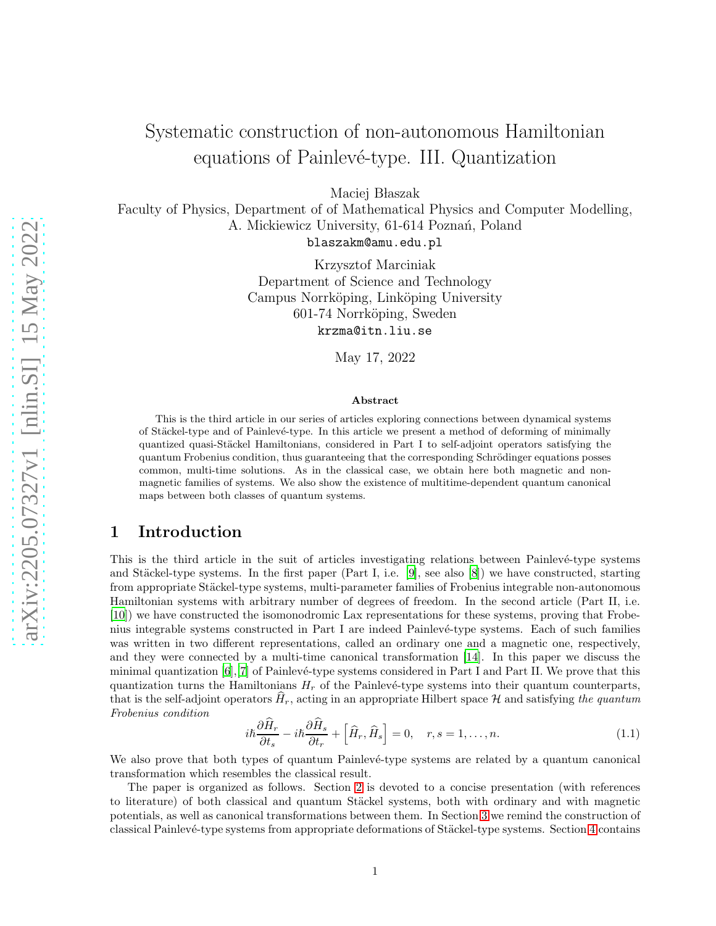# Systematic construction of non-autonomous Hamiltonian equations of Painlevé-type. III. Quantization

Maciej Błaszak

Faculty of Physics, Department of of Mathematical Physics and Computer Modelling, A. Mickiewicz University, 61-614 Poznań, Poland blaszakm@amu.edu.pl

> Krzysztof Marciniak Department of Science and Technology Campus Norrköping, Linköping University 601-74 Norrköping, Sweden krzma@itn.liu.se

> > May 17, 2022

#### Abstract

This is the third article in our series of articles exploring connections between dynamical systems of Stäckel-type and of Painlevé-type. In this article we present a method of deforming of minimally quantized quasi-Stäckel Hamiltonians, considered in Part I to self-adjoint operators satisfying the quantum Frobenius condition, thus guaranteeing that the corresponding Schrödinger equations posses common, multi-time solutions. As in the classical case, we obtain here both magnetic and nonmagnetic families of systems. We also show the existence of multitime-dependent quantum canonical maps between both classes of quantum systems.

### 1 Introduction

This is the third article in the suit of articles investigating relations between Painlevé-type systems and Stäckel-type systems. In the first paper (Part I, i.e. [\[9\]](#page-19-0), see also  $[8]$ ) we have constructed, starting from appropriate Stäckel-type systems, multi-parameter families of Frobenius integrable non-autonomous Hamiltonian systems with arbitrary number of degrees of freedom. In the second article (Part II, i.e. [\[10\]](#page-19-2)) we have constructed the isomonodromic Lax representations for these systems, proving that Frobenius integrable systems constructed in Part I are indeed Painlev´e-type systems. Each of such families was written in two different representations, called an ordinary one and a magnetic one, respectively, and they were connected by a multi-time canonical transformation [\[14\]](#page-19-3). In this paper we discuss the minimal quantization  $[6]$ ,  $[7]$  $[7]$  of Painlevé-type systems considered in Part I and Part II. We prove that this quantization turns the Hamiltonians  $H_r$  of the Painlevé-type systems into their quantum counterparts, that is the self-adjoint operators  $H_r$ , acting in an appropriate Hilbert space H and satisfying the quantum Frobenius condition

<span id="page-0-0"></span>
$$
i\hbar \frac{\partial H_r}{\partial t_s} - i\hbar \frac{\partial H_s}{\partial t_r} + \left[ \hat{H}_r, \hat{H}_s \right] = 0, \quad r, s = 1, \dots, n. \tag{1.1}
$$

We also prove that both types of quantum Painlevé-type systems are related by a quantum canonical transformation which resembles the classical result.

The paper is organized as follows. Section [2](#page-1-0) is devoted to a concise presentation (with references to literature) of both classical and quantum Stäckel systems, both with ordinary and with magnetic potentials, as well as canonical transformations between them. In Section [3](#page-4-0) we remind the construction of classical Painlevé-type systems from appropriate deformations of Stäckel-type systems. Section [4](#page-6-0) contains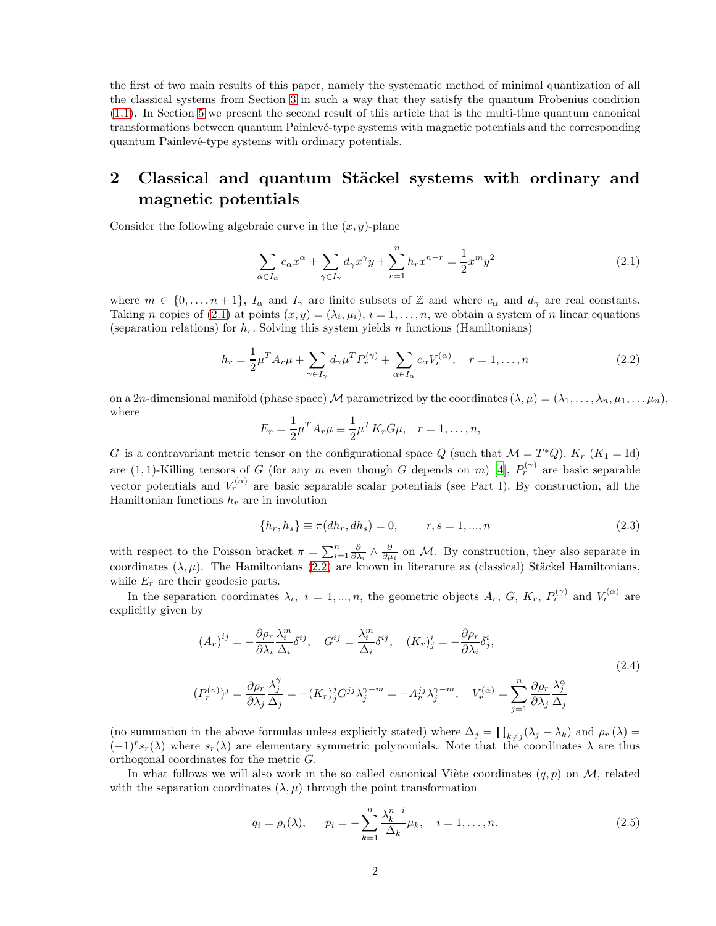the first of two main results of this paper, namely the systematic method of minimal quantization of all the classical systems from Section [3](#page-4-0) in such a way that they satisfy the quantum Frobenius condition [\(1.1\)](#page-0-0). In Section [5](#page-16-0) we present the second result of this article that is the multi-time quantum canonical transformations between quantum Painlevé-type systems with magnetic potentials and the corresponding quantum Painlevé-type systems with ordinary potentials.

## <span id="page-1-0"></span>2 Classical and quantum Stäckel systems with ordinary and magnetic potentials

Consider the following algebraic curve in the  $(x, y)$ -plane

<span id="page-1-1"></span>
$$
\sum_{\alpha \in I_{\alpha}} c_{\alpha} x^{\alpha} + \sum_{\gamma \in I_{\gamma}} d_{\gamma} x^{\gamma} y + \sum_{r=1}^{n} h_{r} x^{n-r} = \frac{1}{2} x^{m} y^{2}
$$
\n(2.1)

where  $m \in \{0, \ldots, n+1\}$ ,  $I_{\alpha}$  and  $I_{\gamma}$  are finite subsets of Z and where  $c_{\alpha}$  and  $d_{\gamma}$  are real constants. Taking n copies of [\(2.1\)](#page-1-1) at points  $(x, y) = (\lambda_i, \mu_i), i = 1, \ldots, n$ , we obtain a system of n linear equations (separation relations) for  $h_r$ . Solving this system yields n functions (Hamiltonians)

<span id="page-1-2"></span>
$$
h_r = \frac{1}{2}\mu^T A_r \mu + \sum_{\gamma \in I_{\gamma}} d_{\gamma} \mu^T P_r^{(\gamma)} + \sum_{\alpha \in I_{\alpha}} c_{\alpha} V_r^{(\alpha)}, \quad r = 1, \dots, n
$$
\n(2.2)

on a 2n-dimensional manifold (phase space) M parametrized by the coordinates  $(\lambda, \mu) = (\lambda_1, \ldots, \lambda_n, \mu_1, \ldots, \mu_n)$ , where

$$
E_r = \frac{1}{2}\mu^T A_r \mu \equiv \frac{1}{2}\mu^T K_r G \mu, \quad r = 1, \dots, n,
$$

G is a contravariant metric tensor on the configurational space Q (such that  $\mathcal{M} = T^*Q$ ),  $K_r$  ( $K_1 = \text{Id}$ ) are (1, 1)-Killing tensors of G (for any m even though G depends on m) [\[4\]](#page-19-6),  $P_r^{(\gamma)}$  are basic separable vector potentials and  $V_r^{(\alpha)}$  are basic separable scalar potentials (see Part I). By construction, all the Hamiltonian functions  $h_r$  are in involution

<span id="page-1-4"></span><span id="page-1-3"></span>
$$
\{h_r, h_s\} \equiv \pi(dh_r, dh_s) = 0, \qquad r, s = 1, ..., n
$$
\n(2.3)

with respect to the Poisson bracket  $\pi = \sum_{i=1}^n \frac{\partial}{\partial \lambda_i} \wedge \frac{\partial}{\partial \mu_i}$  on M. By construction, they also separate in coordinates  $(\lambda, \mu)$ . The Hamiltonians [\(2.2\)](#page-1-2) are known in literature as (classical) Stäckel Hamiltonians, while  $E_r$  are their geodesic parts.

In the separation coordinates  $\lambda_i$ ,  $i = 1, ..., n$ , the geometric objects  $A_r$ ,  $G$ ,  $K_r$ ,  $P_r^{(\gamma)}$  and  $V_r^{(\alpha)}$  are explicitly given by

$$
(A_r)^{ij} = -\frac{\partial \rho_r}{\partial \lambda_i} \frac{\lambda_i^m}{\Delta_i} \delta^{ij}, \quad G^{ij} = \frac{\lambda_i^m}{\Delta_i} \delta^{ij}, \quad (K_r)^i_j = -\frac{\partial \rho_r}{\partial \lambda_i} \delta^i_j,
$$
  

$$
(P_r^{(\gamma)})^j = \frac{\partial \rho_r}{\partial \lambda_j} \frac{\lambda_j^{\gamma}}{\Delta_j} = -(K_r)^j_j G^{jj} \lambda_j^{\gamma-m} = -A_r^{jj} \lambda_j^{\gamma-m}, \quad V_r^{(\alpha)} = \sum_{j=1}^n \frac{\partial \rho_r}{\partial \lambda_j} \frac{\lambda_j^{\alpha}}{\Delta_j}
$$
(2.4)

(no summation in the above formulas unless explicitly stated) where  $\Delta_j = \prod_{k \neq j} (\lambda_j - \lambda_k)$  and  $\rho_r(\lambda) =$  $(-1)^r s_r(\lambda)$  where  $s_r(\lambda)$  are elementary symmetric polynomials. Note that the coordinates  $\lambda$  are thus orthogonal coordinates for the metric G.

In what follows we will also work in the so called canonical Viète coordinates  $(q, p)$  on M, related with the separation coordinates  $(\lambda, \mu)$  through the point transformation

$$
q_i = \rho_i(\lambda), \qquad p_i = -\sum_{k=1}^n \frac{\lambda_k^{n-i}}{\Delta_k} \mu_k, \quad i = 1, ..., n.
$$
 (2.5)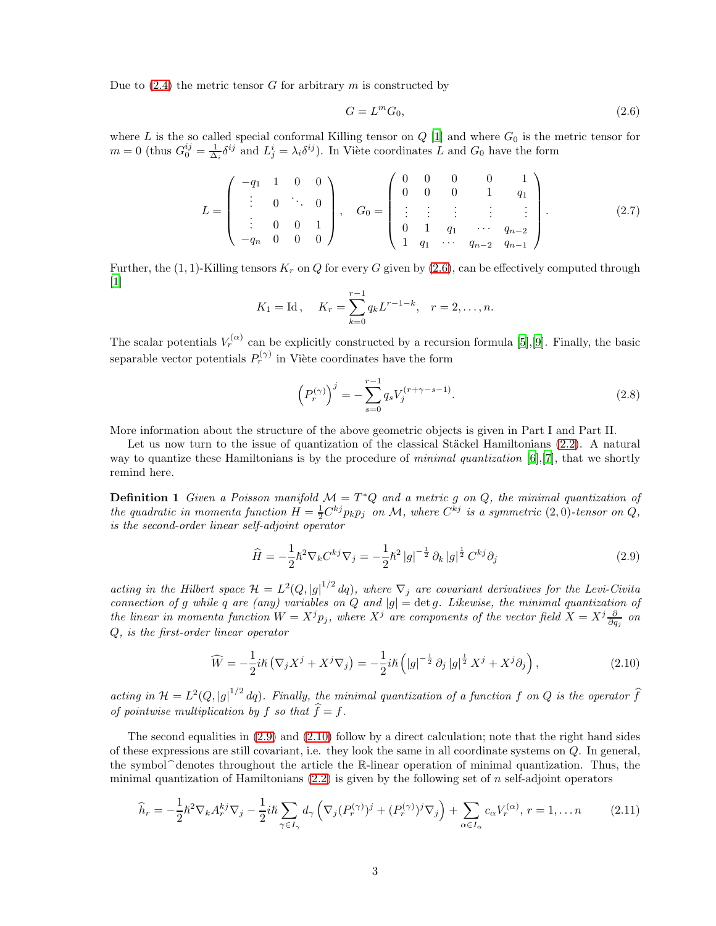Due to  $(2.4)$  the metric tensor G for arbitrary m is constructed by

<span id="page-2-0"></span>
$$
G = L^m G_0,\tag{2.6}
$$

where L is the so called special conformal Killing tensor on  $Q$  [\[1\]](#page-19-7) and where  $G_0$  is the metric tensor for  $m=0$  (thus  $G_0^{ij}=\frac{1}{\Delta_i}\delta^{ij}$  and  $L_j^i=\lambda_i\delta^{ij}$ ). In Viète coordinates L and  $G_0$  have the form

<span id="page-2-5"></span>
$$
L = \begin{pmatrix} -q_1 & 1 & 0 & 0 \\ \vdots & 0 & \ddots & 0 \\ \vdots & 0 & 0 & 1 \\ -q_n & 0 & 0 & 0 \end{pmatrix}, \quad G_0 = \begin{pmatrix} 0 & 0 & 0 & 0 & 1 \\ 0 & 0 & 0 & 1 & q_1 \\ \vdots & \vdots & \vdots & \vdots & \vdots \\ 0 & 1 & q_1 & \cdots & q_{n-2} \\ 1 & q_1 & \cdots & q_{n-2} & q_{n-1} \end{pmatrix}.
$$
 (2.7)

Further, the  $(1, 1)$ -Killing tensors  $K_r$  on Q for every G given by  $(2.6)$ , can be effectively computed through [\[1\]](#page-19-7)

$$
K_1 = \text{Id}, \quad K_r = \sum_{k=0}^{r-1} q_k L^{r-1-k}, \quad r = 2, \dots, n.
$$

The scalar potentials  $V_r^{(\alpha)}$  can be explicitly constructed by a recursion formula [\[5\]](#page-19-8), [\[9](#page-19-0)]. Finally, the basic separable vector potentials  $P_r^{(\gamma)}$  in Viète coordinates have the form

<span id="page-2-6"></span>
$$
\left(P_r^{(\gamma)}\right)^j = -\sum_{s=0}^{r-1} q_s V_j^{(r+\gamma-s-1)}.
$$
\n(2.8)

More information about the structure of the above geometric objects is given in Part I and Part II.

<span id="page-2-4"></span>Let us now turn to the issue of quantization of the classical Stäckel Hamiltonians  $(2.2)$ . A natural way to quantize these Hamiltonians is by the procedure of minimal quantization [\[6](#page-19-4)],[\[7\]](#page-19-5), that we shortly remind here.

**Definition 1** Given a Poisson manifold  $\mathcal{M} = T^*Q$  and a metric g on Q, the minimal quantization of the quadratic in momenta function  $H = \frac{1}{2}C^{kj}p_kp_j$  on M, where  $C^{kj}$  is a symmetric  $(2,0)$ -tensor on  $Q$ , is the second-order linear self-adjoint operator

<span id="page-2-1"></span>
$$
\hat{H} = -\frac{1}{2}\hbar^2 \nabla_k C^{kj} \nabla_j = -\frac{1}{2}\hbar^2 |g|^{-\frac{1}{2}} \partial_k |g|^{\frac{1}{2}} C^{kj} \partial_j
$$
\n(2.9)

acting in the Hilbert space  $\mathcal{H} = L^2(Q, |g|^{1/2} dq)$ , where  $\nabla_j$  are covariant derivatives for the Levi-Civita connection of g while q are (any) variables on Q and  $|g| = \det g$ . Likewise, the minimal quantization of the linear in momenta function  $W = X^j p_j$ , where  $X^j$  are components of the vector field  $X = X^j \frac{\partial}{\partial q_j}$  on Q, is the first-order linear operator

<span id="page-2-2"></span>
$$
\widehat{W} = -\frac{1}{2}i\hbar \left(\nabla_j X^j + X^j \nabla_j\right) = -\frac{1}{2}i\hbar \left(|g|^{-\frac{1}{2}} \partial_j |g|^{\frac{1}{2}} X^j + X^j \partial_j\right),\tag{2.10}
$$

acting in  $\mathcal{H} = L^2(Q, |g|^{1/2} dq)$ . Finally, the minimal quantization of a function f on Q is the operator  $\widehat{f}$ of pointwise multiplication by f so that  $\widehat{f} = f$ .

The second equalities in [\(2.9\)](#page-2-1) and [\(2.10\)](#page-2-2) follow by a direct calculation; note that the right hand sides of these expressions are still covariant, i.e. they look the same in all coordinate systems on Q. In general, the symbol  $\hat{}$  denotes throughout the article the R-linear operation of minimal quantization. Thus, the minimal quantization of Hamiltonians  $(2.2)$  is given by the following set of n self-adjoint operators

<span id="page-2-3"></span>
$$
\widehat{h}_r = -\frac{1}{2}\hbar^2 \nabla_k A_r^{kj} \nabla_j - \frac{1}{2}i\hbar \sum_{\gamma \in I_\gamma} d_\gamma \left( \nabla_j (P_r^{(\gamma)})^j + (P_r^{(\gamma)})^j \nabla_j \right) + \sum_{\alpha \in I_\alpha} c_\alpha V_r^{(\alpha)}, \ r = 1, \dots n \tag{2.11}
$$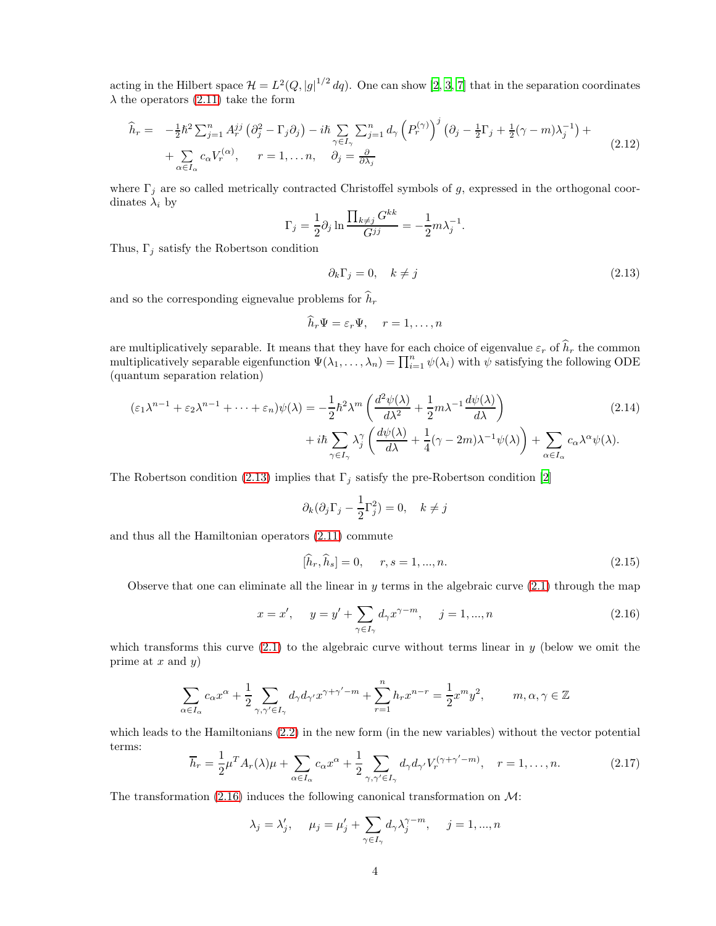acting in the Hilbert space  $\mathcal{H} = L^2(Q, |g|^{1/2} dq)$ . One can show [\[2](#page-19-9), [3,](#page-19-10) [7](#page-19-5)] that in the separation coordinates  $\lambda$  the operators [\(2.11\)](#page-2-3) take the form

<span id="page-3-3"></span>
$$
\widehat{h}_r = -\frac{1}{2}\hbar^2 \sum_{j=1}^n A_r^{jj} \left(\partial_j^2 - \Gamma_j \partial_j\right) - i\hbar \sum_{\gamma \in I_\gamma} \sum_{j=1}^n d_\gamma \left(P_r^{(\gamma)}\right)^j \left(\partial_j - \frac{1}{2}\Gamma_j + \frac{1}{2}(\gamma - m)\lambda_j^{-1}\right) + \sum_{\alpha \in I_\alpha} c_\alpha V_r^{(\alpha)}, \qquad r = 1, \dots n, \qquad \partial_j = \frac{\partial}{\partial \lambda_j}
$$
\n(2.12)

where  $\Gamma_j$  are so called metrically contracted Christoffel symbols of g, expressed in the orthogonal coordinates  $\lambda_i$  by

$$
\Gamma_j = \frac{1}{2} \partial_j \ln \frac{\prod_{k \neq j} G^{kk}}{G^{jj}} = -\frac{1}{2} m \lambda_j^{-1}.
$$

Thus,  $\Gamma_j$  satisfy the Robertson condition

<span id="page-3-0"></span>
$$
\partial_k \Gamma_j = 0, \quad k \neq j \tag{2.13}
$$

and so the corresponding eignevalue problems for  $\widehat{h}_r$ 

$$
h_r \Psi = \varepsilon_r \Psi, \quad r = 1, \dots, n
$$

are multiplicatively separable. It means that they have for each choice of eigenvalue  $\varepsilon_r$  of  $\hat{h}_r$  the common multiplicatively separable eigenfunction  $\Psi(\lambda_1,\ldots,\lambda_n) = \prod_{i=1}^n \psi(\lambda_i)$  with  $\psi$  satisfying the following ODE (quantum separation relation)

$$
(\varepsilon_1 \lambda^{n-1} + \varepsilon_2 \lambda^{n-1} + \dots + \varepsilon_n) \psi(\lambda) = -\frac{1}{2} \hbar^2 \lambda^m \left( \frac{d^2 \psi(\lambda)}{d\lambda^2} + \frac{1}{2} m \lambda^{-1} \frac{d\psi(\lambda)}{d\lambda} \right) + i\hbar \sum_{\gamma \in I_{\gamma}} \lambda_j^{\gamma} \left( \frac{d\psi(\lambda)}{d\lambda} + \frac{1}{4} (\gamma - 2m) \lambda^{-1} \psi(\lambda) \right) + \sum_{\alpha \in I_{\alpha}} c_{\alpha} \lambda^{\alpha} \psi(\lambda).
$$
 (2.14)

The Robertson condition [\(2.13\)](#page-3-0) implies that  $\Gamma_j$  satisfy the pre-Robertson condition [\[2](#page-19-9)]

$$
\partial_k(\partial_j \Gamma_j - \frac{1}{2} \Gamma_j^2) = 0, \quad k \neq j
$$

and thus all the Hamiltonian operators [\(2.11\)](#page-2-3) commute

<span id="page-3-4"></span>
$$
[\hat{h}_r, \hat{h}_s] = 0, \quad r, s = 1, ..., n.
$$
\n(2.15)

Observe that one can eliminate all the linear in y terms in the algebraic curve  $(2.1)$  through the map

<span id="page-3-1"></span>
$$
x = x', \quad y = y' + \sum_{\gamma \in I_{\gamma}} d_{\gamma} x^{\gamma - m}, \quad j = 1, ..., n
$$
\n(2.16)

which transforms this curve  $(2.1)$  to the algebraic curve without terms linear in y (below we omit the prime at  $x$  and  $y$ )

$$
\sum_{\alpha\in I_\alpha}c_\alpha x^\alpha+\frac{1}{2}\sum_{\gamma,\gamma'\in I_\gamma}d_\gamma d_{\gamma'}x^{\gamma+\gamma'-m}+\sum_{r=1}^nh_rx^{n-r}=\frac{1}{2}x^my^2,\qquad m,\alpha,\gamma\in\mathbb{Z}
$$

which leads to the Hamiltonians [\(2.2\)](#page-1-2) in the new form (in the new variables) without the vector potential terms:

<span id="page-3-2"></span>
$$
\overline{h}_r = \frac{1}{2} \mu^T A_r(\lambda) \mu + \sum_{\alpha \in I_\alpha} c_\alpha x^\alpha + \frac{1}{2} \sum_{\gamma, \gamma' \in I_\gamma} d_\gamma d_{\gamma'} V_r^{(\gamma + \gamma' - m)}, \quad r = 1, \dots, n. \tag{2.17}
$$

The transformation  $(2.16)$  induces the following canonical transformation on  $\mathcal{M}$ :

$$
\lambda_j = \lambda'_j, \quad \mu_j = \mu'_j + \sum_{\gamma \in I_\gamma} d_\gamma \lambda_j^{\gamma - m}, \quad j = 1, ..., n
$$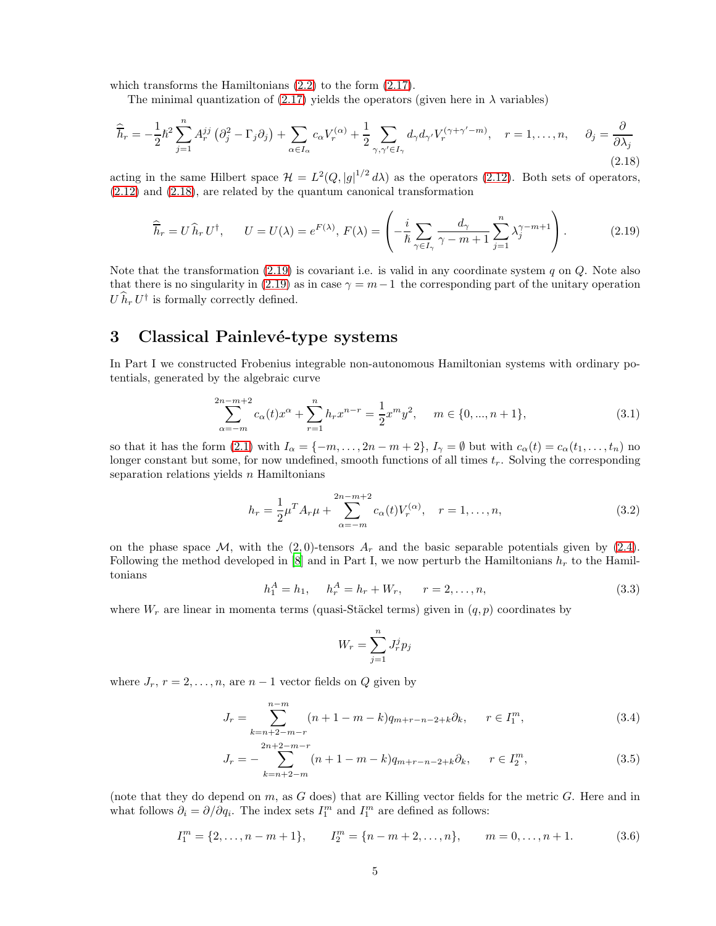which transforms the Hamiltonians  $(2.2)$  to the form  $(2.17)$ .

The minimal quantization of [\(2.17\)](#page-3-2) yields the operators (given here in  $\lambda$  variables)

<span id="page-4-1"></span>
$$
\widehat{\overline{h}}_r = -\frac{1}{2}\hbar^2 \sum_{j=1}^n A_r^{jj} \left(\partial_j^2 - \Gamma_j \partial_j\right) + \sum_{\alpha \in I_\alpha} c_\alpha V_r^{(\alpha)} + \frac{1}{2} \sum_{\gamma, \gamma' \in I_\gamma} d_\gamma d_{\gamma'} V_r^{(\gamma + \gamma' - m)}, \quad r = 1, \dots, n, \quad \partial_j = \frac{\partial}{\partial \lambda_j}
$$
\n(2.18)

acting in the same Hilbert space  $\mathcal{H} = L^2(Q, |g|^{1/2} d\lambda)$  as the operators [\(2.12\)](#page-3-3). Both sets of operators, [\(2.12\)](#page-3-3) and [\(2.18\)](#page-4-1), are related by the quantum canonical transformation

<span id="page-4-2"></span>
$$
\widehat{\overline{h}}_r = U \widehat{h}_r U^{\dagger}, \qquad U = U(\lambda) = e^{F(\lambda)}, \ F(\lambda) = \left( -\frac{i}{\hbar} \sum_{\gamma \in I_{\gamma}} \frac{d_{\gamma}}{\gamma - m + 1} \sum_{j=1}^n \lambda_j^{\gamma - m + 1} \right). \tag{2.19}
$$

Note that the transformation  $(2.19)$  is covariant i.e. is valid in any coordinate system q on Q. Note also that there is no singularity in [\(2.19\)](#page-4-2) as in case  $\gamma = m-1$  the corresponding part of the unitary operation  $U \hat{h}_r U^{\dagger}$  is formally correctly defined.

## <span id="page-4-0"></span>3 Classical Painlevé-type systems

In Part I we constructed Frobenius integrable non-autonomous Hamiltonian systems with ordinary potentials, generated by the algebraic curve

<span id="page-4-6"></span>
$$
\sum_{\alpha=-m}^{2n-m+2} c_{\alpha}(t)x^{\alpha} + \sum_{r=1}^{n} h_r x^{n-r} = \frac{1}{2}x^m y^2, \quad m \in \{0, ..., n+1\},
$$
\n(3.1)

so that it has the form [\(2.1\)](#page-1-1) with  $I_{\alpha} = \{-m, \ldots, 2n - m + 2\}, I_{\gamma} = \emptyset$  but with  $c_{\alpha}(t) = c_{\alpha}(t_1, \ldots, t_n)$  no longer constant but some, for now undefined, smooth functions of all times  $t_r$ . Solving the corresponding separation relations yields  $n$  Hamiltonians

$$
h_r = \frac{1}{2}\mu^T A_r \mu + \sum_{\alpha=-m}^{2n-m+2} c_{\alpha}(t) V_r^{(\alpha)}, \quad r = 1, \dots, n,
$$
\n(3.2)

on the phase space  $\mathcal{M}$ , with the (2,0)-tensors  $A_r$  and the basic separable potentials given by [\(2.4\)](#page-1-3). Following the method developed in [\[8](#page-19-1)] and in Part I, we now perturb the Hamiltonians  $h_r$  to the Hamiltonians

<span id="page-4-3"></span>
$$
h_1^A = h_1, \quad h_r^A = h_r + W_r, \quad r = 2, \dots, n,
$$
\n(3.3)

where  $W_r$  are linear in momenta terms (quasi-Stäckel terms) given in  $(q, p)$  coordinates by

<span id="page-4-5"></span><span id="page-4-4"></span>
$$
W_r = \sum_{j=1}^n J_r^j p_j
$$

where  $J_r$ ,  $r = 2, \ldots, n$ , are  $n - 1$  vector fields on Q given by

$$
J_r = \sum_{k=n+2-m-r}^{n-m} (n+1-m-k)q_{m+r-n-2+k}\partial_k, \qquad r \in I_1^m,
$$
\n(3.4)

$$
J_r = -\sum_{k=n+2-m}^{2n+2-m-r} (n+1-m-k)q_{m+r-n-2+k}\partial_k, \qquad r \in I_2^m,
$$
\n(3.5)

(note that they do depend on  $m$ , as  $G$  does) that are Killing vector fields for the metric  $G$ . Here and in what follows  $\partial_i = \partial/\partial q_i$ . The index sets  $I_1^m$  and  $I_1^m$  are defined as follows:

$$
I_1^m = \{2, \dots, n - m + 1\}, \qquad I_2^m = \{n - m + 2, \dots, n\}, \qquad m = 0, \dots, n + 1. \tag{3.6}
$$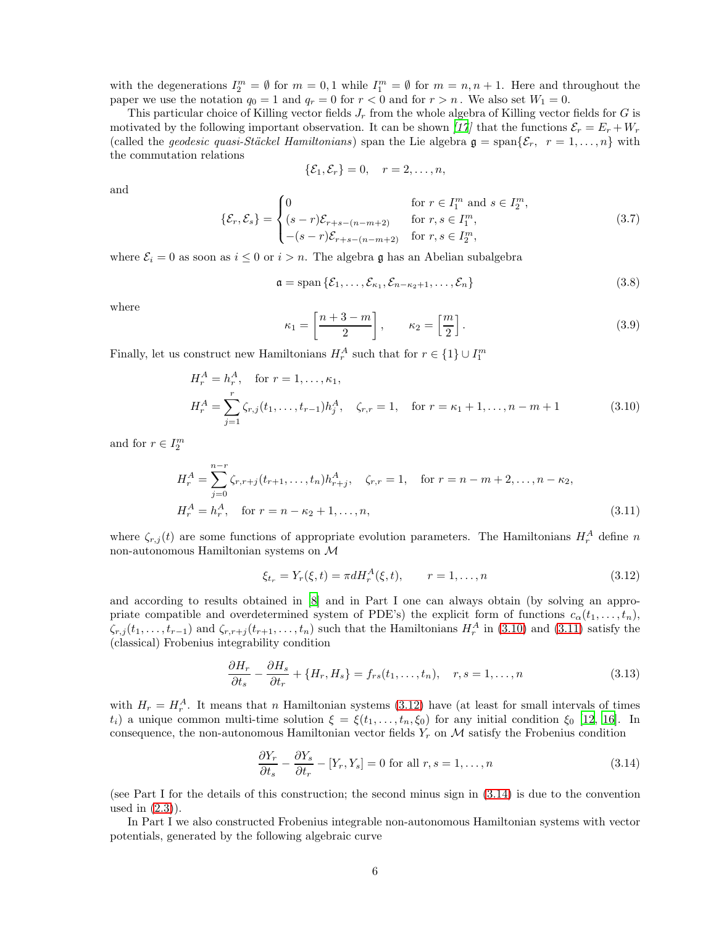with the degenerations  $I_2^m = \emptyset$  for  $m = 0, 1$  while  $I_1^m = \emptyset$  for  $m = n, n + 1$ . Here and throughout the paper we use the notation  $q_0 = 1$  and  $q_r = 0$  for  $r < 0$  and for  $r > n$ . We also set  $W_1 = 0$ .

This particular choice of Killing vector fields  $J_r$  from the whole algebra of Killing vector fields for G is motivated by the following important observation. It can be shown [\[17](#page-19-11)] that the functions  $\mathcal{E}_r = E_r + W_r$ (called the *geodesic quasi-Stäckel Hamiltonians*) span the Lie algebra  $\mathfrak{g} = \text{span}\{\mathcal{E}_r, r = 1, \ldots, n\}$  with the commutation relations

$$
\{\mathcal{E}_1,\mathcal{E}_r\}=0,\quad r=2,\ldots,n,
$$

and

<span id="page-5-5"></span>
$$
\{\mathcal{E}_r, \mathcal{E}_s\} = \begin{cases} 0 & \text{for } r \in I_1^m \text{ and } s \in I_2^m, \\ (s-r)\mathcal{E}_{r+s-(n-m+2)} & \text{for } r, s \in I_1^m, \\ -(s-r)\mathcal{E}_{r+s-(n-m+2)} & \text{for } r, s \in I_2^m, \end{cases}
$$
(3.7)

where  $\mathcal{E}_i = 0$  as soon as  $i \leq 0$  or  $i > n$ . The algebra g has an Abelian subalgebra

$$
\mathfrak{a} = \text{span}\{\mathcal{E}_1, \dots, \mathcal{E}_{\kappa_1}, \mathcal{E}_{n-\kappa_2+1}, \dots, \mathcal{E}_n\}
$$
\n(3.8)

where

<span id="page-5-6"></span><span id="page-5-0"></span>
$$
\kappa_1 = \left[\frac{n+3-m}{2}\right], \qquad \kappa_2 = \left[\frac{m}{2}\right]. \tag{3.9}
$$

Finally, let us construct new Hamiltonians  $H_r^A$  such that for  $r \in \{1\} \cup I_1^m$ 

$$
H_r^A = h_r^A, \quad \text{for } r = 1, ..., \kappa_1,
$$
  
\n
$$
H_r^A = \sum_{j=1}^r \zeta_{r,j}(t_1, ..., t_{r-1}) h_j^A, \quad \zeta_{r,r} = 1, \quad \text{for } r = \kappa_1 + 1, ..., n - m + 1
$$
\n(3.10)

and for  $r \in I_2^m$ 

$$
H_r^A = \sum_{j=0}^{n-r} \zeta_{r,r+j}(t_{r+1}, \dots, t_n) h_{r+j}^A, \quad \zeta_{r,r} = 1, \quad \text{for } r = n - m + 2, \dots, n - \kappa_2,
$$
  

$$
H_r^A = h_r^A, \quad \text{for } r = n - \kappa_2 + 1, \dots, n,
$$
 (3.11)

where  $\zeta_{r,j}(t)$  are some functions of appropriate evolution parameters. The Hamiltonians  $H_r^A$  define n non-autonomous Hamiltonian systems on M

<span id="page-5-2"></span><span id="page-5-1"></span>
$$
\xi_{t_r} = Y_r(\xi, t) = \pi d H_r^A(\xi, t), \qquad r = 1, \dots, n
$$
\n(3.12)

and according to results obtained in [\[8](#page-19-1)] and in Part I one can always obtain (by solving an appropriate compatible and overdetermined system of PDE's) the explicit form of functions  $c_{\alpha}(t_1, \ldots, t_n)$ ,  $\zeta_{r,j}(t_1,\ldots,t_{r-1})$  and  $\zeta_{r,r+j}(t_{r+1},\ldots,t_n)$  such that the Hamiltonians  $H_r^A$  in [\(3.10\)](#page-5-0) and [\(3.11\)](#page-5-1) satisfy the (classical) Frobenius integrability condition

<span id="page-5-4"></span>
$$
\frac{\partial H_r}{\partial t_s} - \frac{\partial H_s}{\partial t_r} + \{H_r, H_s\} = f_{rs}(t_1, \dots, t_n), \quad r, s = 1, \dots, n
$$
\n(3.13)

with  $H_r = H_r^A$ . It means that n Hamiltonian systems [\(3.12\)](#page-5-2) have (at least for small intervals of times  $t_i$ ) a unique common multi-time solution  $\xi = \xi(t_1, \ldots, t_n, \xi_0)$  for any initial condition  $\xi_0$  [\[12,](#page-19-12) [16\]](#page-19-13). In consequence, the non-autonomous Hamiltonian vector fields  $Y_r$  on  $\mathcal M$  satisfy the Frobenius condition

<span id="page-5-3"></span>
$$
\frac{\partial Y_r}{\partial t_s} - \frac{\partial Y_s}{\partial t_r} - [Y_r, Y_s] = 0 \text{ for all } r, s = 1, \dots, n
$$
\n(3.14)

(see Part I for the details of this construction; the second minus sign in [\(3.14\)](#page-5-3) is due to the convention used in [\(2.3\)](#page-1-4)).

In Part I we also constructed Frobenius integrable non-autonomous Hamiltonian systems with vector potentials, generated by the following algebraic curve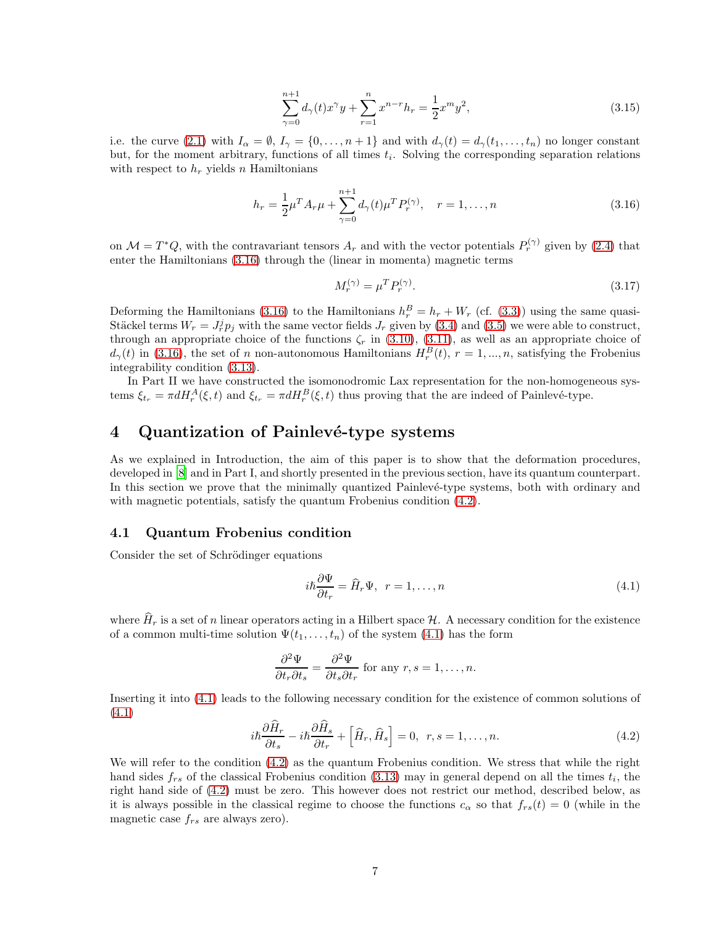<span id="page-6-5"></span>
$$
\sum_{\gamma=0}^{n+1} d_{\gamma}(t)x^{\gamma}y + \sum_{r=1}^{n} x^{n-r}h_r = \frac{1}{2}x^m y^2,
$$
\n(3.15)

i.e. the curve [\(2.1\)](#page-1-1) with  $I_{\alpha} = \emptyset$ ,  $I_{\gamma} = \{0, \ldots, n+1\}$  and with  $d_{\gamma}(t) = d_{\gamma}(t_1, \ldots, t_n)$  no longer constant but, for the moment arbitrary, functions of all times  $t_i$ . Solving the corresponding separation relations with respect to  $h_r$  yields n Hamiltonians

<span id="page-6-1"></span>
$$
h_r = \frac{1}{2}\mu^T A_r \mu + \sum_{\gamma=0}^{n+1} d_{\gamma}(t) \mu^T P_r^{(\gamma)}, \quad r = 1, \dots, n
$$
\n(3.16)

on  $\mathcal{M} = T^*Q$ , with the contravariant tensors  $A_r$  and with the vector potentials  $P_r^{(\gamma)}$  given by [\(2.4\)](#page-1-3) that enter the Hamiltonians [\(3.16\)](#page-6-1) through the (linear in momenta) magnetic terms

<span id="page-6-4"></span>
$$
M_r^{(\gamma)} = \mu^T P_r^{(\gamma)}.\tag{3.17}
$$

Deforming the Hamiltonians [\(3.16\)](#page-6-1) to the Hamiltonians  $h_r^B = h_r + W_r$  (cf. [\(3.3\)](#page-4-3)) using the same quasi-Stäckel terms  $W_r = J_r^j p_j$  with the same vector fields  $J_r$  given by [\(3.4\)](#page-4-4) and [\(3.5\)](#page-4-5) we were able to construct, through an appropriate choice of the functions  $\zeta_r$  in [\(3.10\)](#page-5-0), [\(3.11\)](#page-5-1), as well as an appropriate choice of  $d_{\gamma}(t)$  in [\(3.16\)](#page-6-1), the set of n non-autonomous Hamiltonians  $H_r^B(t)$ ,  $r = 1, ..., n$ , satisfying the Frobenius integrability condition [\(3.13\)](#page-5-4).

In Part II we have constructed the isomonodromic Lax representation for the non-homogeneous systems  $\xi_{t_r} = \pi dH_r^A(\xi, t)$  and  $\xi_{t_r} = \pi dH_r^B(\xi, t)$  thus proving that the are indeed of Painlevé-type.

### <span id="page-6-0"></span>4 Quantization of Painlevé-type systems

As we explained in Introduction, the aim of this paper is to show that the deformation procedures, developed in [\[8\]](#page-19-1) and in Part I, and shortly presented in the previous section, have its quantum counterpart. In this section we prove that the minimally quantized Painlevé-type systems, both with ordinary and with magnetic potentials, satisfy the quantum Frobenius condition [\(4.2\)](#page-6-2).

#### 4.1 Quantum Frobenius condition

Consider the set of Schrödinger equations

<span id="page-6-3"></span>
$$
i\hbar \frac{\partial \Psi}{\partial t_r} = \hat{H}_r \Psi, \ \ r = 1, \dots, n \tag{4.1}
$$

where  $\hat{H}_r$  is a set of n linear operators acting in a Hilbert space H. A necessary condition for the existence of a common multi-time solution  $\Psi(t_1,\ldots,t_n)$  of the system [\(4.1\)](#page-6-3) has the form

$$
\frac{\partial^2 \Psi}{\partial t_r \partial t_s} = \frac{\partial^2 \Psi}{\partial t_s \partial t_r}
$$
 for any  $r, s = 1, ..., n$ .

Inserting it into [\(4.1\)](#page-6-3) leads to the following necessary condition for the existence of common solutions of [\(4.1\)](#page-6-3)

<span id="page-6-2"></span>
$$
i\hbar \frac{\partial \hat{H}_r}{\partial t_s} - i\hbar \frac{\partial \hat{H}_s}{\partial t_r} + \left[ \hat{H}_r, \hat{H}_s \right] = 0, \ \ r, s = 1, \dots, n. \tag{4.2}
$$

We will refer to the condition [\(4.2\)](#page-6-2) as the quantum Frobenius condition. We stress that while the right hand sides  $f_{rs}$  of the classical Frobenius condition [\(3.13\)](#page-5-4) may in general depend on all the times  $t_i$ , the right hand side of [\(4.2\)](#page-6-2) must be zero. This however does not restrict our method, described below, as it is always possible in the classical regime to choose the functions  $c_{\alpha}$  so that  $f_{rs}(t) = 0$  (while in the magnetic case  $f_{rs}$  are always zero).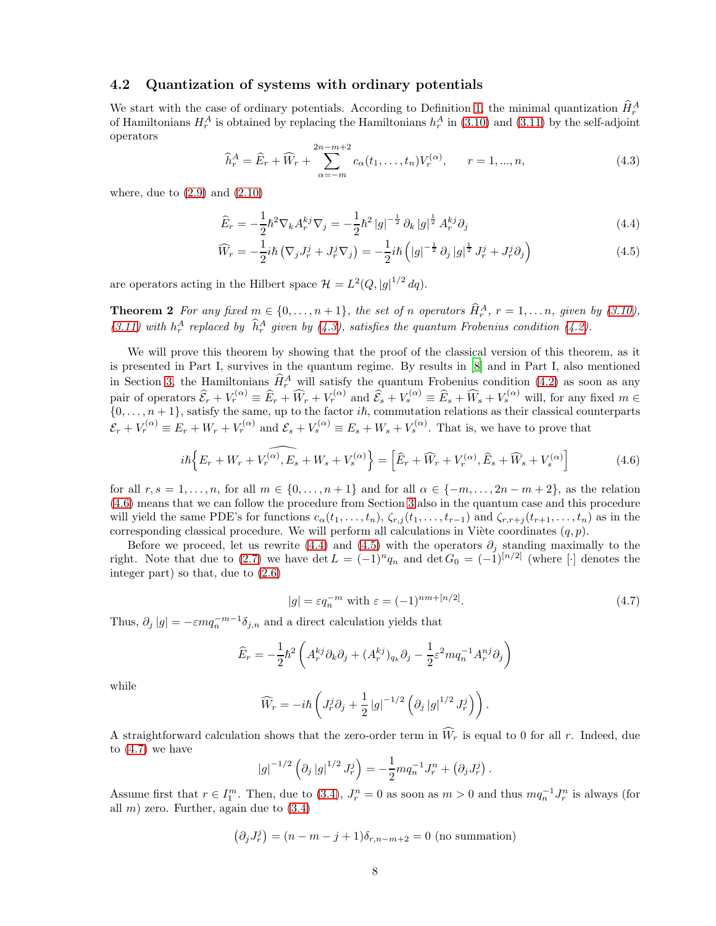#### 4.2 Quantization of systems with ordinary potentials

We start with the case of ordinary potentials. According to Definition [1,](#page-2-4) the minimal quantization  $\hat{H}_r^A$ of Hamiltonians  $H_r^A$  is obtained by replacing the Hamiltonians  $h_r^A$  in [\(3.10\)](#page-5-0) and [\(3.11\)](#page-5-1) by the self-adjoint operators

<span id="page-7-0"></span>
$$
\widehat{h}_r^A = \widehat{E}_r + \widehat{W}_r + \sum_{\alpha = -m}^{2n - m + 2} c_{\alpha}(t_1, \dots, t_n) V_r^{(\alpha)}, \qquad r = 1, \dots, n,
$$
\n(4.3)

where, due to  $(2.9)$  and  $(2.10)$ 

<span id="page-7-3"></span><span id="page-7-2"></span>
$$
\widehat{E}_r = -\frac{1}{2}\hbar^2 \nabla_k A_r^{kj} \nabla_j = -\frac{1}{2}\hbar^2 |g|^{-\frac{1}{2}} \partial_k |g|^{\frac{1}{2}} A_r^{kj} \partial_j
$$
\n(4.4)

$$
\widehat{W}_r = -\frac{1}{2}i\hbar \left( \nabla_j J_r^j + J_r^j \nabla_j \right) = -\frac{1}{2}i\hbar \left( |g|^{-\frac{1}{2}} \partial_j |g|^{\frac{1}{2}} J_r^j + J_r^j \partial_j \right) \tag{4.5}
$$

<span id="page-7-5"></span>are operators acting in the Hilbert space  $\mathcal{H} = L^2(Q, |g|^{1/2} dq)$ .

**Theorem 2** For any fixed  $m \in \{0, ..., n+1\}$ , the set of n operators  $\hat{H}_r^A$ ,  $r = 1, ..., n$ , given by [\(3.10\)](#page-5-0), [\(3.11\)](#page-5-1) with  $h_r^A$  replaced by  $\hat{h}_r^A$  given by [\(4.3\)](#page-7-0), satisfies the quantum Frobenius condition [\(4.2\)](#page-6-2).

We will prove this theorem by showing that the proof of the classical version of this theorem, as it is presented in Part I, survives in the quantum regime. By results in [\[8\]](#page-19-1) and in Part I, also mentioned in Section [3,](#page-4-0) the Hamiltonians  $\hat{H}_r^A$  will satisfy the quantum Frobenius condition [\(4.2\)](#page-6-2) as soon as any pair of operators  $\widehat{\mathcal{E}}_r + V_r^{(\alpha)} \equiv \widehat{E}_r + \widehat{W}_r + V_r^{(\alpha)}$  and  $\widehat{\mathcal{E}}_s + V_s^{(\alpha)} \equiv \widehat{E}_s + \widehat{W}_s + V_s^{(\alpha)}$  will, for any fixed  $m \in$  $\{0,\ldots,n+1\}$ , satisfy the same, up to the factor i $\hbar$ , commutation relations as their classical counterparts  $\mathcal{E}_r + V_r^{(\alpha)} \equiv E_r + W_r + V_r^{(\alpha)}$  and  $\mathcal{E}_s + V_s^{(\alpha)} \equiv E_s + W_s + V_s^{(\alpha)}$ . That is, we have to prove that

<span id="page-7-1"></span>
$$
i\hbar \left\{ E_r + W_r + V_r^{(\alpha)}, E_s + W_s + V_s^{(\alpha)} \right\} = \left[ \widehat{E}_r + \widehat{W}_r + V_r^{(\alpha)}, \widehat{E}_s + \widehat{W}_s + V_s^{(\alpha)} \right]
$$
(4.6)

for all  $r, s = 1, \ldots, n$ , for all  $m \in \{0, \ldots, n+1\}$  and for all  $\alpha \in \{-m, \ldots, 2n-m+2\}$ , as the relation [\(4.6\)](#page-7-1) means that we can follow the procedure from Section [3](#page-4-0) also in the quantum case and this procedure will yield the same PDE's for functions  $c_{\alpha}(t_1, \ldots, t_n)$ ,  $\zeta_{r,j}(t_1, \ldots, t_{r-1})$  and  $\zeta_{r,r+j}(t_{r+1}, \ldots, t_n)$  as in the corresponding classical procedure. We will perform all calculations in Viète coordinates  $(q, p)$ .

Before we proceed, let us rewrite [\(4.4\)](#page-7-2) and [\(4.5\)](#page-7-3) with the operators  $\partial_i$  standing maximally to the right. Note that due to [\(2.7\)](#page-2-5) we have det  $L = (-1)^n q_n$  and det  $G_0 = (-1)^{[n/2]}$  (where [·] denotes the integer part) so that, due to [\(2.6\)](#page-2-0)

<span id="page-7-4"></span>
$$
|g| = \varepsilon q_n^{-m} \text{ with } \varepsilon = (-1)^{nm + [n/2]}.
$$
 (4.7)

.

Thus,  $\partial_j |g| = -\varepsilon m q_n^{-m-1} \delta_{j,n}$  and a direct calculation yields that

$$
\widehat{E}_r = -\frac{1}{2}\hbar^2 \left( A_r^{kj} \partial_k \partial_j + (A_r^{kj})_{q_k} \partial_j - \frac{1}{2} \varepsilon^2 m q_n^{-1} A_r^{nj} \partial_j \right)
$$

while

$$
\widehat{W}_r = -i\hbar \left( J^j_r \partial_j + \frac{1}{2} |g|^{-1/2} \left( \partial_j |g|^{1/2} J^j_r \right) \right).
$$

A straightforward calculation shows that the zero-order term in  $\widehat{W}_r$  is equal to 0 for all r. Indeed, due to [\(4.7\)](#page-7-4) we have

$$
|g|^{-1/2} \left( \partial_j |g|^{1/2} J_r^j \right) = -\frac{1}{2} m q_n^{-1} J_r^n + \left( \partial_j J_r^j \right)
$$

Assume first that  $r \in I_1^m$ . Then, due to [\(3.4\)](#page-4-4),  $J_r^n = 0$  as soon as  $m > 0$  and thus  $mq_n^{-1}J_r^n$  is always (for all  $m$ ) zero. Further, again due to  $(3.4)$ 

$$
(\partial_j J_r^j) = (n - m - j + 1)\delta_{r,n-m+2} = 0
$$
 (no summation)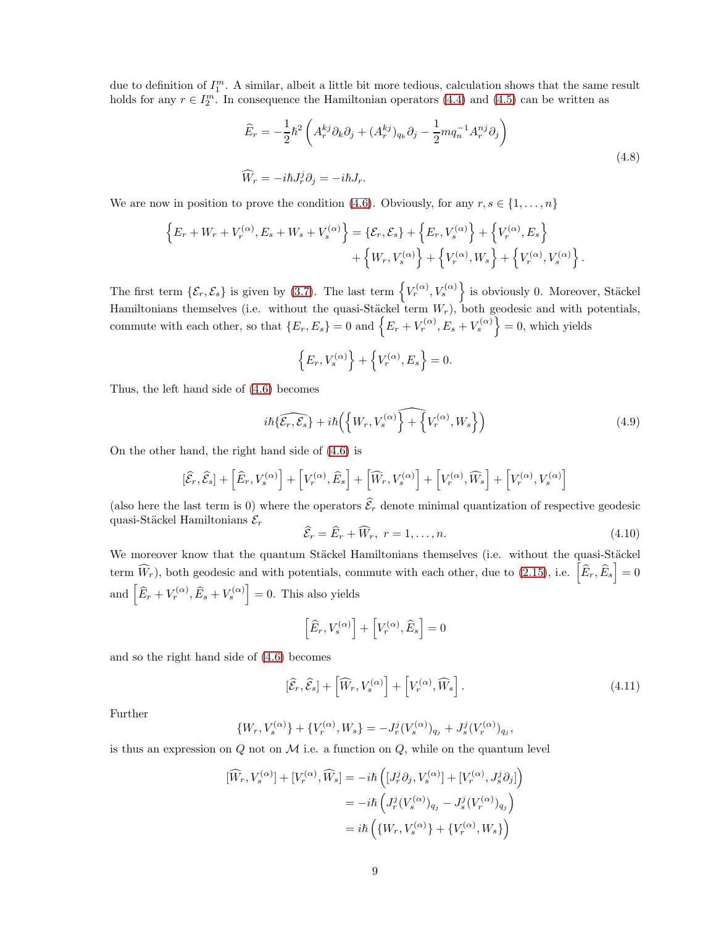due to definition of  $I_1^m$ . A similar, albeit a little bit more tedious, calculation shows that the same result holds for any  $r \in I_2^m$ . In consequence the Hamiltonian operators [\(4.4\)](#page-7-2) and [\(4.5\)](#page-7-3) can be written as

<span id="page-8-1"></span>
$$
\widehat{E}_r = -\frac{1}{2}\hbar^2 \left( A_r^{kj} \partial_k \partial_j + (A_r^{kj})_{q_k} \partial_j - \frac{1}{2} m q_n^{-1} A_r^{nj} \partial_j \right)
$$
\n
$$
\widehat{W}_r = -i\hbar J_r^j \partial_j = -i\hbar J_r.
$$
\n(4.8)

We are now in position to prove the condition [\(4.6\)](#page-7-1). Obviously, for any  $r, s \in \{1, \ldots, n\}$ 

$$
\left\{E_r + W_r + V_r^{(\alpha)}, E_s + W_s + V_s^{(\alpha)}\right\} = \left\{\mathcal{E}_r, \mathcal{E}_s\right\} + \left\{E_r, V_s^{(\alpha)}\right\} + \left\{V_r^{(\alpha)}, E_s\right\} + \left\{W_r, V_s^{(\alpha)}\right\} + \left\{V_r^{(\alpha)}, W_s\right\} + \left\{V_r^{(\alpha)}, V_s^{(\alpha)}\right\}.
$$

The first term  $\{\mathcal{E}_r, \mathcal{E}_s\}$  is given by [\(3.7\)](#page-5-5). The last term  $\{V_r^{(\alpha)}, V_s^{(\alpha)}\}$  is obviously 0. Moreover, Stäckel Hamiltonians themselves (i.e. without the quasi-Stäckel term  $W_r$ ), both geodesic and with potentials, commute with each other, so that  $\{E_r, E_s\} = 0$  and  $\{E_r + V_r^{(\alpha)}, E_s + V_s^{(\alpha)}\} = 0$ , which yields

$$
\left\{E_r,V_s^{(\alpha)}\right\}+\left\{V_r^{(\alpha)},E_s\right\}=0.
$$

Thus, the left hand side of [\(4.6\)](#page-7-1) becomes

$$
i\hbar\{\widehat{\mathcal{E}_r,\mathcal{E}_s}\} + i\hbar\left(\left\{W_r, V_s^{(\alpha)}\right\} + \left\{V_r^{(\alpha)}, W_s\right\}\right) \tag{4.9}
$$

On the other hand, the right hand side of [\(4.6\)](#page-7-1) is

$$
[\widehat{\mathcal{E}}_r,\widehat{\mathcal{E}}_s]+\left[\widehat{E}_r,V_s^{(\alpha)}\right]+\left[V_r^{(\alpha)},\widehat{E}_s\right]+\left[\widehat{W}_r,V_s^{(\alpha)}\right]+\left[V_r^{(\alpha)},\widehat{W}_s\right]+\left[V_r^{(\alpha)},V_s^{(\alpha)}\right]
$$

(also here the last term is 0) where the operators  $\hat{\mathcal{E}}_r$  denote minimal quantization of respective geodesic quasi-Stäckel Hamiltonians  $\mathcal{E}_r$ 

<span id="page-8-0"></span>
$$
\widehat{\mathcal{E}}_r = \widehat{E}_r + \widehat{W}_r, \ r = 1, \dots, n. \tag{4.10}
$$

We moreover know that the quantum Stäckel Hamiltonians themselves (i.e. without the quasi-Stäckel term  $\widehat{W}_r$ ), both geodesic and with potentials, commute with each other, due to [\(2.15\)](#page-3-4), i.e.  $\left[\widehat{E}_r, \widehat{E}_s\right] = 0$ and  $\left[\widehat{E}_r + V_r^{(\alpha)}, \widehat{E}_s + V_s^{(\alpha)}\right] = 0$ . This also yields

$$
\Big[ \widehat{E}_r, V^{(\alpha)}_s \Big] + \Big[ V^{(\alpha)}_r, \widehat{E}_s \Big] = 0
$$

and so the right hand side of [\(4.6\)](#page-7-1) becomes

$$
[\widehat{\mathcal{E}}_r, \widehat{\mathcal{E}}_s] + \left[ \widehat{W}_r, V_s^{(\alpha)} \right] + \left[ V_r^{(\alpha)}, \widehat{W}_s \right]. \tag{4.11}
$$

,

Further

$$
\{W_r, V_s^{(\alpha)}\} + \{V_r^{(\alpha)}, W_s\} = -J_r^j (V_s^{(\alpha)})_{q_j} + J_s^j (V_r^{(\alpha)})_{q_j}
$$

is thus an expression on  $Q$  not on  $M$  i.e. a function on  $Q$ , while on the quantum level

$$
\begin{aligned} [\widehat{W}_r,V_s^{(\alpha)}]+[V_r^{(\alpha)},\widehat{W}_s] &= -i\hbar\left([J_r^j\partial_j,V_s^{(\alpha)}]+[V_r^{(\alpha)},J_s^j\partial_j]\right)\\ &= -i\hbar\left(J_r^j(V_s^{(\alpha)})_{q_j}-J_s^j(V_r^{(\alpha)})_{q_j}\right)\\ &=i\hbar\left(\{W_r,V_s^{(\alpha)}\}+\{V_r^{(\alpha)},W_s\}\right) \end{aligned}
$$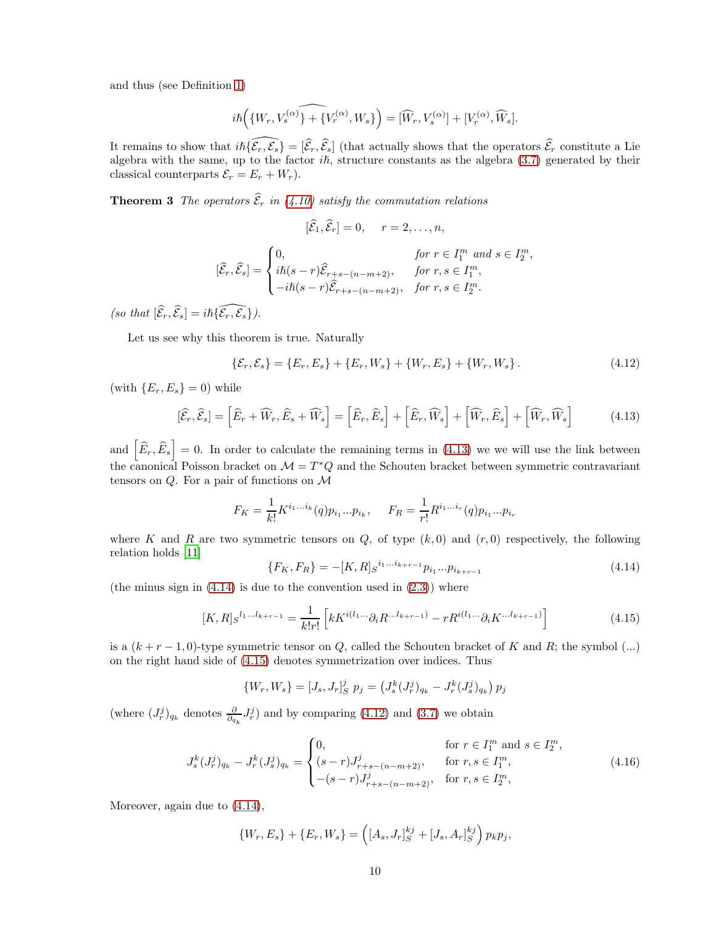and thus (see Definition [1\)](#page-2-4)

$$
i\hbar \Big(\big\{W_r,V^{(\alpha)}_s\big\}\widehat{+ \big\{V^{(\alpha)}_r,W_s\big\}}\Big) = [\widehat{W}_r,V^{(\alpha)}_s] + [V^{(\alpha)}_r,\widehat{W}_s].
$$

It remains to show that  $i\hbar \{\widehat{\mathcal{E}_r}, \widehat{\mathcal{E}_s}\} = [\widehat{\mathcal{E}_r}, \widehat{\mathcal{E}_s}]$  (that actually shows that the operators  $\widehat{\mathcal{E}_r}$  constitute a Lie algebra with the same, up to the factor  $i\hbar$ , structure constants as the algebra [\(3.7\)](#page-5-5) generated by their classical counterparts  $\mathcal{E}_r = E_r + W_r$ .

<span id="page-9-5"></span>**Theorem 3** The operators  $\widehat{\mathcal{E}}_r$  in [\(4.10\)](#page-8-0) satisfy the commutation relations

$$
[\mathcal{E}_1, \mathcal{E}_r] = 0, \quad r = 2, \dots, n,
$$
  

$$
[\widehat{\mathcal{E}}_r, \widehat{\mathcal{E}}_s] = \begin{cases} 0, & \text{for } r \in I_1^m \text{ and } s \in I_2^m, \\ i\hbar(s - r)\widehat{\mathcal{E}}_{r+s - (n-m+2)}, & \text{for } r, s \in I_1^m, \\ -i\hbar(s - r)\widehat{\mathcal{E}}_{r+s - (n-m+2)}, & \text{for } r, s \in I_2^m. \end{cases}
$$

(so that  $[\widehat{\mathcal{E}}_r, \widehat{\mathcal{E}}_s] = i\hbar \{\widehat{\mathcal{E}_r}, \widehat{\mathcal{E}_s}\}.$ 

Let us see why this theorem is true. Naturally

<span id="page-9-3"></span>
$$
\{\mathcal{E}_r, \mathcal{E}_s\} = \{E_r, E_s\} + \{E_r, W_s\} + \{W_r, E_s\} + \{W_r, W_s\}.
$$
\n(4.12)

(with  ${E_r, E_s} = 0$ ) while

<span id="page-9-0"></span>
$$
[\widehat{\mathcal{E}}_r, \widehat{\mathcal{E}}_s] = \left[\widehat{E}_r + \widehat{W}_r, \widehat{E}_s + \widehat{W}_s\right] = \left[\widehat{E}_r, \widehat{E}_s\right] + \left[\widehat{E}_r, \widehat{W}_s\right] + \left[\widehat{W}_r, \widehat{E}_s\right] + \left[\widehat{W}_r, \widehat{W}_s\right]
$$
(4.13)

and  $\left[\widehat{E}_r,\widehat{E}_s\right]=0$ . In order to calculate the remaining terms in [\(4.13\)](#page-9-0) we we will use the link between the canonical Poisson bracket on  $\mathcal{M} = T^*Q$  and the Schouten bracket between symmetric contravariant tensors on  $Q$ . For a pair of functions on  $\mathcal M$ 

$$
F_K = \frac{1}{k!} K^{i_1...i_k}(q) p_{i_1}...p_{i_k}, \quad F_R = \frac{1}{r!} R^{i_1...i_r}(q) p_{i_1}...p_{i_r}
$$

where K and R are two symmetric tensors on Q, of type  $(k, 0)$  and  $(r, 0)$  respectively, the following relation holds [\[11\]](#page-19-14)

<span id="page-9-1"></span>
$$
\{F_K, F_R\} = -[K, R]_S^{i_1...i_{k+r-1}} p_{i_1}...p_{i_{k+r-1}}
$$
\n(4.14)

(the minus sign in  $(4.14)$ ) is due to the convention used in  $(2.3)$ ) where

<span id="page-9-2"></span>
$$
[K,R]_S^{l_1...l_{k+r-1}} = \frac{1}{k!r!} \left[ kK^{i(l_1...} \partial_i R^{...l_{k+r-1})} - rR^{i(l_1...} \partial_i K^{...l_{k+r-1})} \right]
$$
(4.15)

is a  $(k + r - 1, 0)$ -type symmetric tensor on Q, called the Schouten bracket of K and R; the symbol (...) on the right hand side of [\(4.15\)](#page-9-2) denotes symmetrization over indices. Thus

$$
\{W_r, W_s\} = [J_s, J_r]_S^j \ p_j = (J_s^k (J_r^j)_{q_k} - J_r^k (J_s^j)_{q_k}) \ p_j
$$

(where  $(J_r^j)_{q_k}$  denotes  $\frac{\partial}{\partial q_k} J_r^j$ ) and by comparing [\(4.12\)](#page-9-3) and [\(3.7\)](#page-5-5) we obtain

<span id="page-9-4"></span>
$$
J_s^k (J_r^j)_{q_k} - J_r^k (J_s^j)_{q_k} = \begin{cases} 0, & \text{for } r \in I_1^m \text{ and } s \in I_2^m, \\ (s-r)J_{r+s-(n-m+2)}^j, & \text{for } r, s \in I_1^m, \\ -(s-r)J_{r+s-(n-m+2)}^j, & \text{for } r, s \in I_2^m, \end{cases}
$$
(4.16)

Moreover, again due to  $(4.14)$ ,

$$
\{W_r, E_s\} + \{E_r, W_s\} = \left([A_s, J_r]_S^{kj} + [J_s, A_r]_S^{kj}\right) p_k p_j,
$$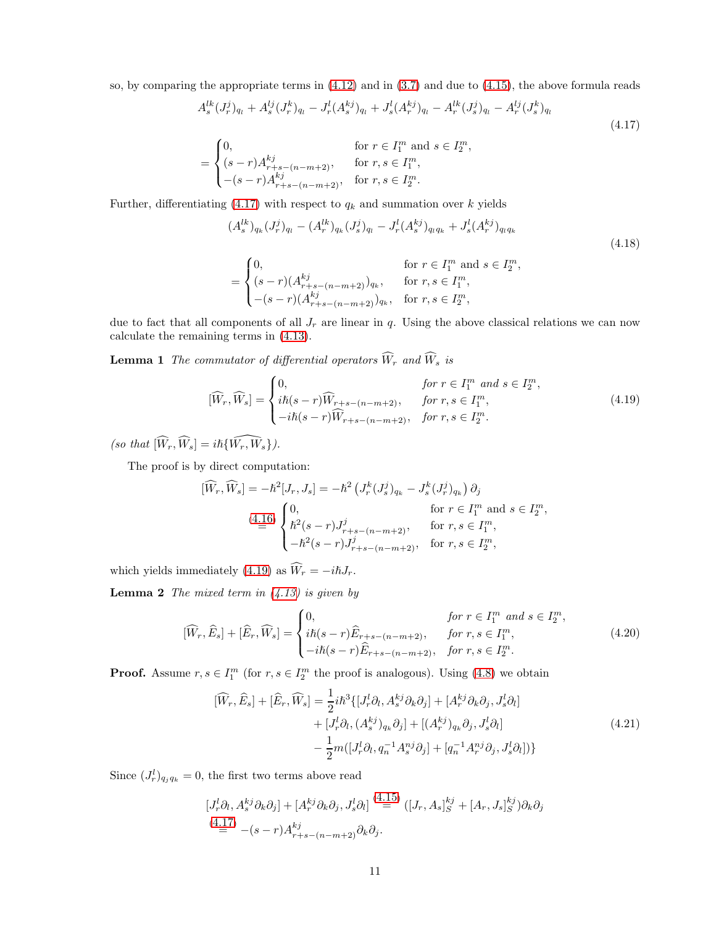so, by comparing the appropriate terms in [\(4.12\)](#page-9-3) and in [\(3.7\)](#page-5-5) and due to [\(4.15\)](#page-9-2), the above formula reads

$$
A_s^{lk}(J_r^j)_{q_l} + A_s^{lj}(J_r^k)_{q_l} - J_r^l(A_s^{kj})_{q_l} + J_s^l(A_r^{kj})_{q_l} - A_r^{lk}(J_s^j)_{q_l} - A_r^{lj}(J_s^k)_{q_l}
$$
\n
$$
\text{for } r \in I_1^m \text{ and } s \in I_2^m,
$$
\n
$$
\tag{4.17}
$$

$$
= \begin{cases} 0, & \text{for } r \in T_1 \text{ and } s \in T_2 \\ (s-r)A_{r+s-(n-m+2)}^{kj}, & \text{for } r, s \in I_1^m, \\ -(s-r)A_{r+s-(n-m+2)}^{kj}, & \text{for } r, s \in I_2^m. \end{cases}
$$

Further, differentiating [\(4.17\)](#page-10-0) with respect to  $q_k$  and summation over k yields

<span id="page-10-2"></span><span id="page-10-0"></span>
$$
(A_s^{lk})_{q_k} (J_r^j)_{q_l} - (A_r^{lk})_{q_k} (J_s^j)_{q_l} - J_r^l (A_s^{kj})_{q_l q_k} + J_s^l (A_r^{kj})_{q_l q_k}
$$
  
\n
$$
= \begin{cases}\n0, & \text{for } r \in I_1^m \text{ and } s \in I_2^m, \\
(s-r)(A_{r+s-(n-m+2)}^{kj})_{q_k}, & \text{for } r, s \in I_1^m,\n\end{cases}
$$
\n(4.18)

$$
\left(-(s-r)(A_{r+s-(n-m+2)}^{kj})_{q_k}, \text{ for } r, s \in I_2^m,
$$
  
due to fact that all components of all  $J_r$  are linear in q. Using the above classical relations we can now

<span id="page-10-6"></span>calculate the remaining terms in [\(4.13\)](#page-9-0).

**Lemma 1** The commutator of differential operators  $\widehat{W}_r$  and  $\widehat{W}_s$  is

<span id="page-10-1"></span>
$$
[\widehat{W}_r, \widehat{W}_s] = \begin{cases} 0, & \text{for } r \in I_1^m \text{ and } s \in I_2^m, \\ i\hbar(s-r)\widehat{W}_{r+s-(n-m+2)}, & \text{for } r, s \in I_1^m, \\ -i\hbar(s-r)\widehat{W}_{r+s-(n-m+2)}, & \text{for } r, s \in I_2^m. \end{cases}
$$
(4.19)

(so that  $[\widehat{W}_r, \widehat{W}_s] = i\hbar \{\widehat{W_r, W_s}\}.$ 

The proof is by direct computation:

$$
[\widehat{W}_r, \widehat{W}_s] = -\hbar^2 [J_r, J_s] = -\hbar^2 \left( J_r^k (J_s^j)_{q_k} - J_s^k (J_r^j)_{q_k} \right) \partial_j
$$
  
(4.16)  

$$
\begin{cases} 0, & \text{for } r \in I_1^m \text{ and } s \in I_2^m, \\ \hbar^2 (s - r) J_{r+s - (n - m + 2)}^j, & \text{for } r, s \in I_1^m, \\ -\hbar^2 (s - r) J_{r+s - (n - m + 2)}^j, & \text{for } r, s \in I_2^m, \end{cases}
$$

<span id="page-10-5"></span>which yields immediately [\(4.19\)](#page-10-1) as  $\widehat{W}_r = -i\hbar J_r$ .

**Lemma 2** The mixed term in  $(4.13)$  is given by

<span id="page-10-4"></span>
$$
[\widehat{W}_r, \widehat{E}_s] + [\widehat{E}_r, \widehat{W}_s] = \begin{cases} 0, & \text{for } r \in I_1^m \text{ and } s \in I_2^m, \\ i\hbar(s-r)\widehat{E}_{r+s-(n-m+2)}, & \text{for } r, s \in I_1^m, \\ -i\hbar(s-r)\widehat{E}_{r+s-(n-m+2)}, & \text{for } r, s \in I_2^m. \end{cases}
$$
(4.20)

**Proof.** Assume  $r, s \in I_1^m$  (for  $r, s \in I_2^m$  the proof is analogous). Using [\(4.8\)](#page-8-1) we obtain

<span id="page-10-3"></span>
$$
[\widehat{W}_{r}, \widehat{E}_{s}] + [\widehat{E}_{r}, \widehat{W}_{s}] = \frac{1}{2} i\hbar^{3} \{ [J_{r}^{l} \partial_{l}, A_{s}^{kj} \partial_{k} \partial_{j}] + [A_{r}^{kj} \partial_{k} \partial_{j}, J_{s}^{l} \partial_{l}] + [J_{r}^{l} \partial_{l}, (A_{s}^{kj})_{q_{k}} \partial_{j}] + [(A_{r}^{kj})_{q_{k}} \partial_{j}, J_{s}^{l} \partial_{l}] -\frac{1}{2} m ([J_{r}^{l} \partial_{l}, q_{n}^{-1} A_{s}^{nj} \partial_{j}] + [q_{n}^{-1} A_{r}^{nj} \partial_{j}, J_{s}^{l} \partial_{l}]) \}
$$
\n(4.21)

Since  $(J_r^l)_{q_j q_k} = 0$ , the first two terms above read

$$
\begin{split} & [J_r^l \partial_l, A_s^{kj} \partial_k \partial_j] + [A_r^{kj} \partial_k \partial_j, J_s^l \partial_l] \stackrel{(4.15)}{=} ([J_r, A_s]_S^{kj} + [A_r, J_s]_S^{kj}) \partial_k \partial_j \\ & \stackrel{(4.17)}{=} -(s-r) A_{r+s-(n-m+2)}^{kj} \partial_k \partial_j. \end{split}
$$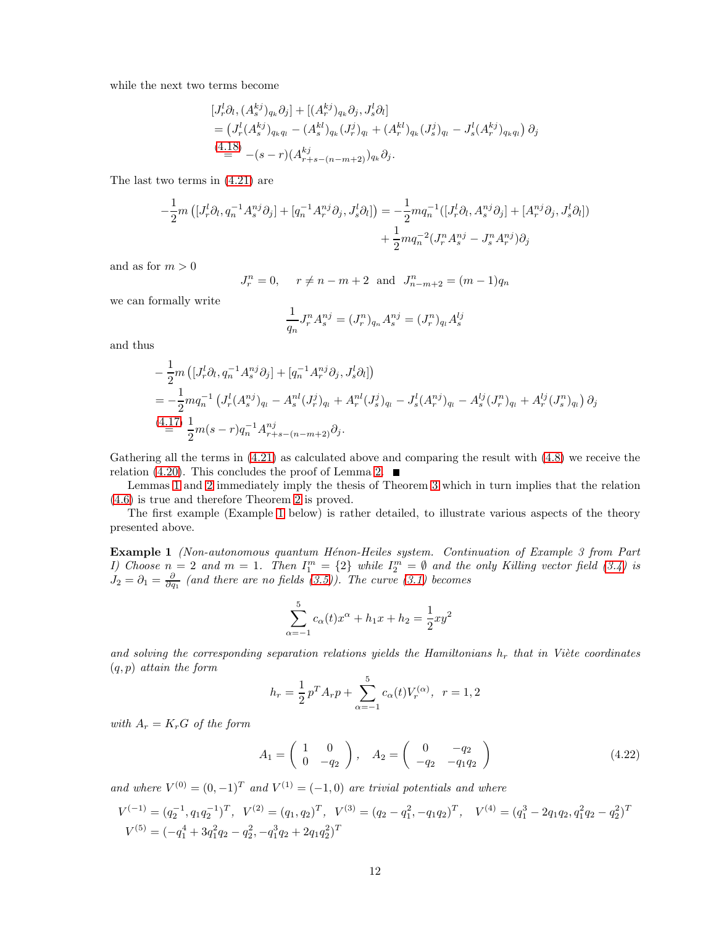while the next two terms become

$$
[J_r^l \partial_l, (A_s^{kj})_{q_k} \partial_j] + [(A_r^{kj})_{q_k} \partial_j, J_s^l \partial_l]
$$
  
=  $(J_r^l (A_s^{kj})_{q_k q_l} - (A_s^{kl})_{q_k} (J_r^j)_{q_l} + (A_r^{kl})_{q_k} (J_s^j)_{q_l} - J_s^l (A_r^{kj})_{q_k q_l}) \partial_j$   
(4.18)  
=  $-(s-r)(A_{r+s-(n-m+2)}^k)_{q_k} \partial_j$ .

The last two terms in [\(4.21\)](#page-10-3) are

$$
-\frac{1}{2}m\left([J_r^l \partial_l, q_n^{-1} A_s^{nj} \partial_j] + [q_n^{-1} A_r^{nj} \partial_j, J_s^l \partial_l]\right) = -\frac{1}{2}mq_n^{-1}([J_r^l \partial_l, A_s^{nj} \partial_j] + [A_r^{nj} \partial_j, J_s^l \partial_l]) + \frac{1}{2}mq_n^{-2}(J_r^n A_s^{nj} - J_s^n A_r^{nj})\partial_j
$$

and as for  $m > 0$ 

$$
J_r^n = 0
$$
,  $r \neq n - m + 2$  and  $J_{n-m+2}^n = (m-1)q_n$ 

we can formally write

$$
\frac{1}{q_n}J_r^n A_s^{nj} = (J_r^n)_{q_n} A_s^{nj} = (J_r^n)_{q_l} A_s^{lj}
$$

and thus

$$
- \frac{1}{2}m \left( [J_r^l \partial_l, q_n^{-1} A_s^{nj} \partial_j] + [q_n^{-1} A_r^{nj} \partial_j, J_s^l \partial_l] \right)
$$
  
=  $-\frac{1}{2}mq_n^{-1} \left( J_r^l (A_s^{nj})_{q_l} - A_s^{nl} (J_r^j)_{q_l} + A_r^{nl} (J_s^j)_{q_l} - J_s^l (A_r^{nj})_{q_l} - A_s^{lj} (J_r^{n})_{q_l} + A_r^{lj} (J_s^{n})_{q_l} \right) \partial_j$   
(4.17)  $\frac{1}{2}m(s-r)q_n^{-1} A_{r+s-(n-m+2)}^{nj} \partial_j$ .

Gathering all the terms in [\(4.21\)](#page-10-3) as calculated above and comparing the result with [\(4.8\)](#page-8-1) we receive the relation [\(4.20\)](#page-10-4). This concludes the proof of Lemma [2.](#page-10-5)  $\blacksquare$ 

Lemmas [1](#page-10-6) and [2](#page-10-5) immediately imply the thesis of Theorem [3](#page-9-5) which in turn implies that the relation [\(4.6\)](#page-7-1) is true and therefore Theorem [2](#page-7-5) is proved.

<span id="page-11-0"></span>The first example (Example [1](#page-11-0) below) is rather detailed, to illustrate various aspects of the theory presented above.

**Example 1** (Non-autonomous quantum Hénon-Heiles system. Continuation of Example 3 from Part I) Choose  $n = 2$  and  $m = 1$ . Then  $I_1^m = \{2\}$  while  $I_2^m = \emptyset$  and the only Killing vector field [\(3.4\)](#page-4-4) is  $J_2 = \partial_1 = \frac{\partial}{\partial q_1}$  (and there are no fields [\(3.5\)](#page-4-5)). The curve [\(3.1\)](#page-4-6) becomes

$$
\sum_{\alpha=-1}^{5} c_{\alpha}(t)x^{\alpha} + h_1x + h_2 = \frac{1}{2}xy^2
$$

and solving the corresponding separation relations yields the Hamiltonians  $h_r$  that in Viète coordinates  $(q, p)$  attain the form

$$
h_r = \frac{1}{2}p^T A_r p + \sum_{\alpha=-1}^{5} c_{\alpha}(t) V_r^{(\alpha)}, \ \ r = 1, 2
$$

with  $A_r = K_r G$  of the form

<span id="page-11-1"></span>
$$
A_1 = \begin{pmatrix} 1 & 0 \\ 0 & -q_2 \end{pmatrix}, \quad A_2 = \begin{pmatrix} 0 & -q_2 \\ -q_2 & -q_1 q_2 \end{pmatrix}
$$
 (4.22)

and where  $V^{(0)} = (0,-1)^T$  and  $V^{(1)} = (-1,0)$  are trivial potentials and where

$$
V^{(-1)} = (q_2^{-1}, q_1 q_2^{-1})^T, \quad V^{(2)} = (q_1, q_2)^T, \quad V^{(3)} = (q_2 - q_1^2, -q_1 q_2)^T, \quad V^{(4)} = (q_1^3 - 2q_1 q_2, q_1^2 q_2 - q_2^2)^T
$$
  

$$
V^{(5)} = (-q_1^4 + 3q_1^2 q_2 - q_2^2, -q_1^3 q_2 + 2q_1 q_2^2)^T
$$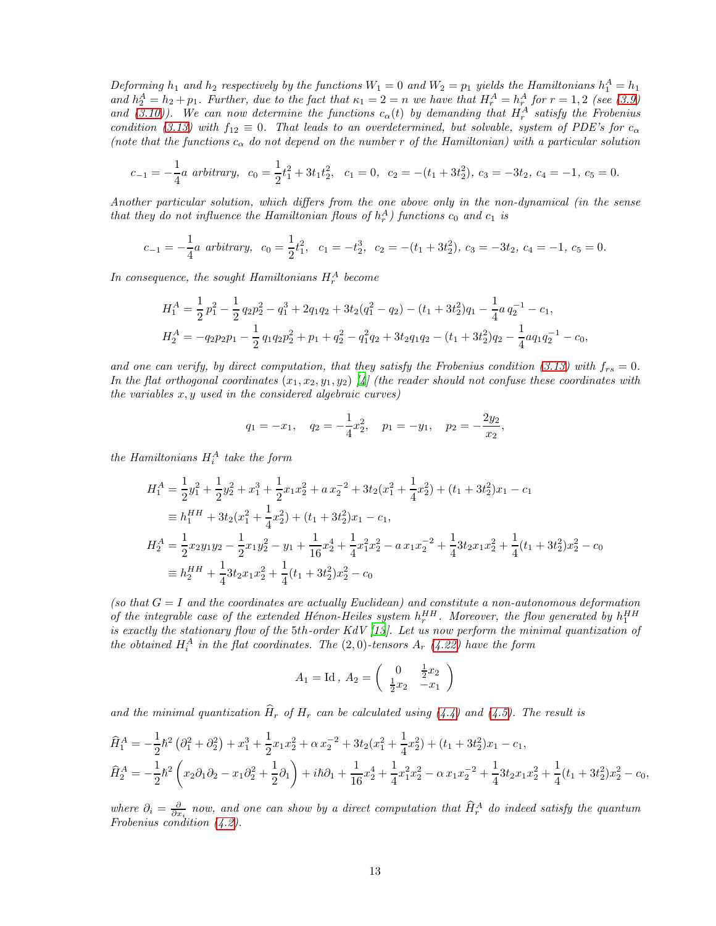Deforming  $h_1$  and  $h_2$  respectively by the functions  $W_1 = 0$  and  $W_2 = p_1$  yields the Hamiltonians  $h_1^A = h_1$ and  $h_2^A = h_2 + p_1$ . Further, due to the fact that  $\kappa_1 = 2 = n$  we have that  $H_r^A = h_r^A$  for  $r = 1, 2$  (see [\(3.9\)](#page-5-6) and [\(3.10\)](#page-5-0)). We can now determine the functions  $c_{\alpha}(t)$  by demanding that  $H_r^A$  satisfy the Frobenius condition [\(3.13\)](#page-5-4) with  $f_{12} \equiv 0$ . That leads to an overdetermined, but solvable, system of PDE's for  $c_{\alpha}$ (note that the functions  $c_{\alpha}$  do not depend on the number r of the Hamiltonian) with a particular solution

$$
c_{-1}=-\frac{1}{4}a\,\,arbitrary,\ \, c_0=\frac{1}{2}t_1^2+3t_1t_2^2,\ \ c_1=0,\ \, c_2=-(t_1+3t_2^2),\,c_3=-3t_2,\,c_4=-1,\,c_5=0.
$$

Another particular solution, which differs from the one above only in the non-dynamical (in the sense that they do not influence the Hamiltonian flows of  $h_r^A$ ) functions  $c_0$  and  $c_1$  is

$$
c_{-1} = -\frac{1}{4}a \text{ arbitrary}, \quad c_0 = \frac{1}{2}t_1^2, \quad c_1 = -t_2^3, \quad c_2 = -(t_1 + 3t_2^2), \quad c_3 = -3t_2, \quad c_4 = -1, \quad c_5 = 0.
$$

In consequence, the sought Hamiltonians  $H_r^A$  become

$$
H_1^A = \frac{1}{2}p_1^2 - \frac{1}{2}q_2p_2^2 - q_1^3 + 2q_1q_2 + 3t_2(q_1^2 - q_2) - (t_1 + 3t_2^2)q_1 - \frac{1}{4}a q_2^{-1} - c_1,
$$
  
\n
$$
H_2^A = -q_2p_2p_1 - \frac{1}{2}q_1q_2p_2^2 + p_1 + q_2^2 - q_1^2q_2 + 3t_2q_1q_2 - (t_1 + 3t_2^2)q_2 - \frac{1}{4}aq_1q_2^{-1} - c_0,
$$

and one can verify, by direct computation, that they satisfy the Frobenius condition [\(3.13\)](#page-5-4) with  $f_{rs} = 0$ . In the flat orthogonal coordinates  $(x_1, x_2, y_1, y_2)$  [\[4\]](#page-19-6) (the reader should not confuse these coordinates with the variables  $x, y$  used in the considered algebraic curves)

$$
q_1 = -x_1
$$
,  $q_2 = -\frac{1}{4}x_2^2$ ,  $p_1 = -y_1$ ,  $p_2 = -\frac{2y_2}{x_2}$ ,

the Hamiltonians  $H_i^A$  take the form

$$
H_1^A = \frac{1}{2}y_1^2 + \frac{1}{2}y_2^2 + x_1^3 + \frac{1}{2}x_1x_2^2 + a x_2^{-2} + 3t_2(x_1^2 + \frac{1}{4}x_2^2) + (t_1 + 3t_2^2)x_1 - c_1
$$
  
\n
$$
\equiv h_1^{HH} + 3t_2(x_1^2 + \frac{1}{4}x_2^2) + (t_1 + 3t_2^2)x_1 - c_1,
$$
  
\n
$$
H_2^A = \frac{1}{2}x_2y_1y_2 - \frac{1}{2}x_1y_2^2 - y_1 + \frac{1}{16}x_2^4 + \frac{1}{4}x_1^2x_2^2 - a x_1x_2^{-2} + \frac{1}{4}3t_2x_1x_2^2 + \frac{1}{4}(t_1 + 3t_2^2)x_2^2 - c_0
$$
  
\n
$$
\equiv h_2^{HH} + \frac{1}{4}3t_2x_1x_2^2 + \frac{1}{4}(t_1 + 3t_2^2)x_2^2 - c_0
$$

(so that  $G = I$  and the coordinates are actually Euclidean) and constitute a non-autonomous deformation of the integrable case of the extended Hénon-Heiles system  $h_r^{HH}$ . Moreover, the flow generated by  $h_1^{HH}$ is exactly the stationary flow of the 5th-order KdV [\[13\]](#page-19-15). Let us now perform the minimal quantization of the obtained  $H_i^A$  in the flat coordinates. The  $(2,0)$ -tensors  $A_r$   $(4.22)$  have the form

$$
A_1 = \text{Id}, A_2 = \begin{pmatrix} 0 & \frac{1}{2}x_2 \\ \frac{1}{2}x_2 & -x_1 \end{pmatrix}
$$

and the minimal quantization  $\widehat{H}_r$  of  $H_r$  can be calculated using [\(4.4\)](#page-7-2) and [\(4.5\)](#page-7-3). The result is

$$
\hat{H}_1^A = -\frac{1}{2}\hbar^2 \left(\partial_1^2 + \partial_2^2\right) + x_1^3 + \frac{1}{2}x_1x_2^2 + \alpha x_2^{-2} + 3t_2(x_1^2 + \frac{1}{4}x_2^2) + (t_1 + 3t_2^2)x_1 - c_1,
$$
\n
$$
\hat{H}_2^A = -\frac{1}{2}\hbar^2 \left(x_2\partial_1\partial_2 - x_1\partial_2^2 + \frac{1}{2}\partial_1\right) + i\hbar\partial_1 + \frac{1}{16}x_2^4 + \frac{1}{4}x_1^2x_2^2 - \alpha x_1x_2^{-2} + \frac{1}{4}3t_2x_1x_2^2 + \frac{1}{4}(t_1 + 3t_2^2)x_2^2 - c_0,
$$

where  $\partial_i = \frac{\partial}{\partial x_i}$  now, and one can show by a direct computation that  $\hat{H}_r^A$  do indeed satisfy the quantum Frobenius condition [\(4.2\)](#page-6-2).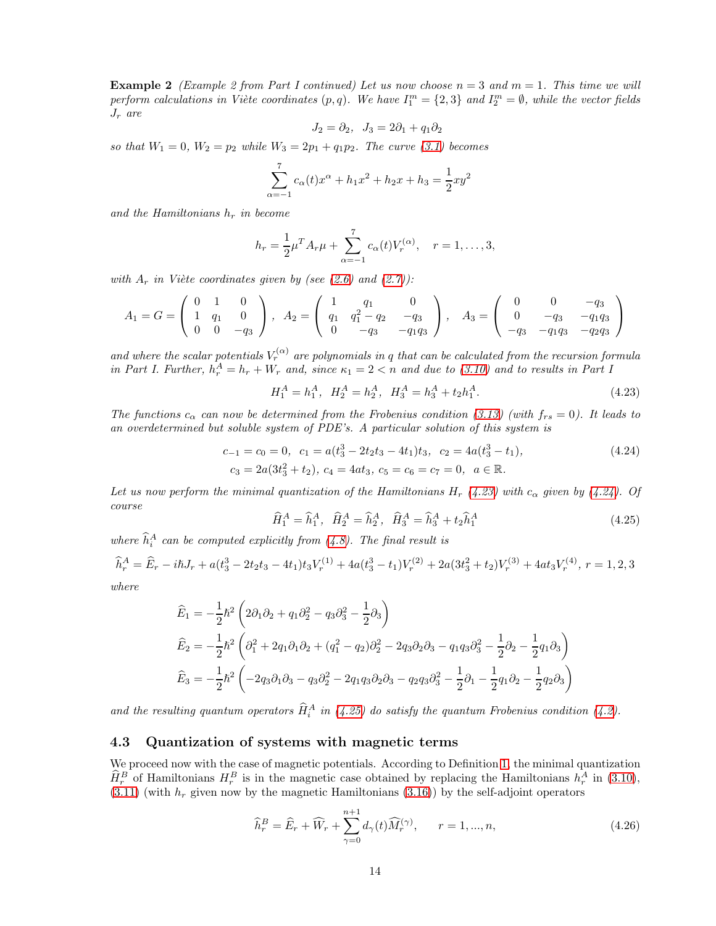**Example 2** (Example 2 from Part I continued) Let us now choose  $n = 3$  and  $m = 1$ . This time we will perform calculations in Viète coordinates  $(p, q)$ . We have  $I_1^m = \{2, 3\}$  and  $I_2^m = \emptyset$ , while the vector fields  $J_r$  are

$$
J_2 = \partial_2, \quad J_3 = 2\partial_1 + q_1 \partial_2
$$

so that  $W_1 = 0$ ,  $W_2 = p_2$  while  $W_3 = 2p_1 + q_1p_2$ . The curve [\(3.1\)](#page-4-6) becomes

$$
\sum_{\alpha=-1}^{7} c_{\alpha}(t)x^{\alpha} + h_1x^2 + h_2x + h_3 = \frac{1}{2}xy^2
$$

and the Hamiltonians  $h_r$  in become

$$
h_r = \frac{1}{2}\mu^T A_r \mu + \sum_{\alpha=-1}^7 c_{\alpha}(t) V_r^{(\alpha)}, \quad r = 1, \dots, 3,
$$

with  $A_r$  in Viète coordinates given by (see [\(2.6\)](#page-2-0) and [\(2.7\)](#page-2-5)):

$$
A_1 = G = \begin{pmatrix} 0 & 1 & 0 \\ 1 & q_1 & 0 \\ 0 & 0 & -q_3 \end{pmatrix}, A_2 = \begin{pmatrix} 1 & q_1 & 0 \\ q_1 & q_1^2 - q_2 & -q_3 \\ 0 & -q_3 & -q_1q_3 \end{pmatrix}, A_3 = \begin{pmatrix} 0 & 0 & -q_3 \\ 0 & -q_3 & -q_1q_3 \\ -q_3 & -q_1q_3 & -q_2q_3 \end{pmatrix}
$$

and where the scalar potentials  $V_r^{(\alpha)}$  are polynomials in q that can be calculated from the recursion formula in Part I. Further,  $h_r^A = h_r + W_r$  and, since  $\kappa_1 = 2 < n$  and due to [\(3.10\)](#page-5-0) and to results in Part I

<span id="page-13-1"></span><span id="page-13-0"></span>
$$
H_1^A = h_1^A, \quad H_2^A = h_2^A, \quad H_3^A = h_3^A + t_2 h_1^A. \tag{4.23}
$$

The functions  $c_{\alpha}$  can now be determined from the Frobenius condition [\(3.13\)](#page-5-4) (with  $f_{rs} = 0$ ). It leads to an overdetermined but soluble system of PDE's. A particular solution of this system is

$$
c_{-1} = c_0 = 0, \quad c_1 = a(t_3^3 - 2t_2t_3 - 4t_1)t_3, \quad c_2 = 4a(t_3^3 - t_1),
$$
  
\n
$$
c_3 = 2a(3t_3^2 + t_2), \quad c_4 = 4at_3, \quad c_5 = c_6 = c_7 = 0, \quad a \in \mathbb{R}.
$$
\n(4.24)

Let us now perform the minimal quantization of the Hamiltonians H<sub>r</sub> [\(4.23\)](#page-13-0) with  $c_{\alpha}$  given by [\(4.24\)](#page-13-1). Of course

<span id="page-13-2"></span>
$$
\widehat{H}_1^A = \widehat{h}_1^A, \quad \widehat{H}_2^A = \widehat{h}_2^A, \quad \widehat{H}_3^A = \widehat{h}_3^A + t_2 \widehat{h}_1^A \tag{4.25}
$$

where  $\hat{h}_i^A$  can be computed explicitly from [\(4.8\)](#page-8-1). The final result is

$$
\widehat{h}_r^A = \widehat{E}_r - i\hbar J_r + a(t_3^3 - 2t_2t_3 - 4t_1)t_3V_r^{(1)} + 4a(t_3^3 - t_1)V_r^{(2)} + 2a(3t_3^2 + t_2)V_r^{(3)} + 4at_3V_r^{(4)}, r = 1, 2, 3
$$

where

$$
\begin{aligned}\n\widehat{E}_1 &= -\frac{1}{2}\hbar^2 \left( 2\partial_1 \partial_2 + q_1 \partial_2^2 - q_3 \partial_3^2 - \frac{1}{2} \partial_3 \right) \\
\widehat{E}_2 &= -\frac{1}{2}\hbar^2 \left( \partial_1^2 + 2q_1 \partial_1 \partial_2 + (q_1^2 - q_2)\partial_2^2 - 2q_3 \partial_2 \partial_3 - q_1 q_3 \partial_3^2 - \frac{1}{2} \partial_2 - \frac{1}{2} q_1 \partial_3 \right) \\
\widehat{E}_3 &= -\frac{1}{2}\hbar^2 \left( -2q_3 \partial_1 \partial_3 - q_3 \partial_2^2 - 2q_1 q_3 \partial_2 \partial_3 - q_2 q_3 \partial_3^2 - \frac{1}{2} \partial_1 - \frac{1}{2} q_1 \partial_2 - \frac{1}{2} q_2 \partial_3 \right)\n\end{aligned}
$$

and the resulting quantum operators  $\hat{H}_i^A$  in [\(4.25\)](#page-13-2) do satisfy the quantum Frobenius condition [\(4.2\)](#page-6-2).

#### 4.3 Quantization of systems with magnetic terms

We proceed now with the case of magnetic potentials. According to Definition [1,](#page-2-4) the minimal quantization  $\sim$  $\widehat{H}_r^B$  of Hamiltonians  $H_r^B$  is in the magnetic case obtained by replacing the Hamiltonians  $h_r^A$  in [\(3.10\)](#page-5-0),  $(3.11)$  (with  $h_r$  given now by the magnetic Hamiltonians  $(3.16)$ ) by the self-adjoint operators

<span id="page-13-3"></span>
$$
\widehat{h}_r^B = \widehat{E}_r + \widehat{W}_r + \sum_{\gamma=0}^{n+1} d_{\gamma}(t) \widehat{M}_r^{(\gamma)}, \qquad r = 1, ..., n,
$$
\n(4.26)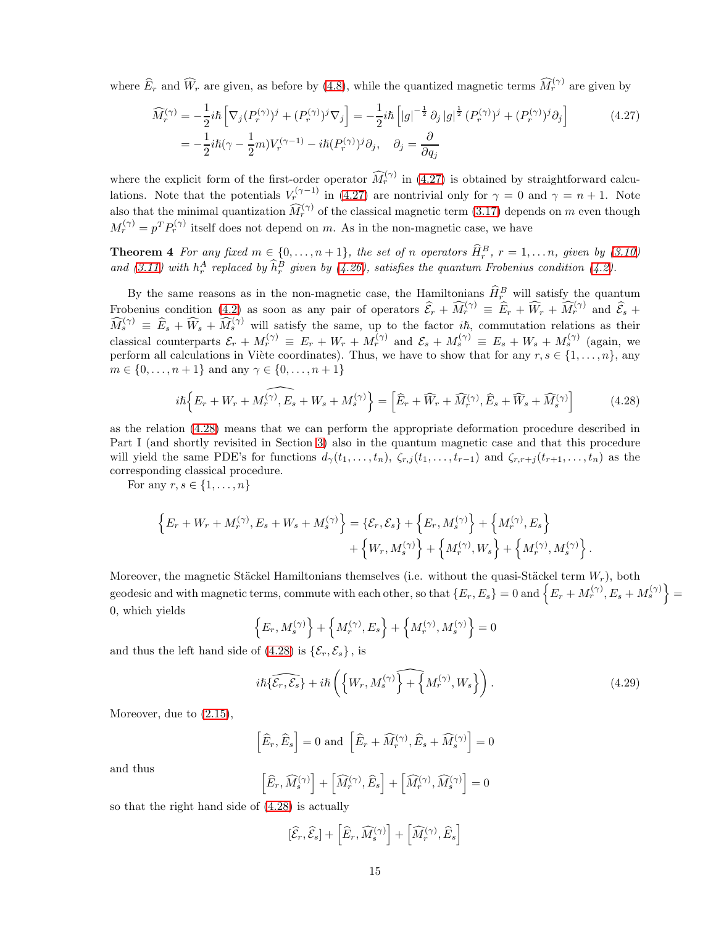where  $\widehat{E}_r$  and  $\widehat{W}_r$  are given, as before by [\(4.8\)](#page-8-1), while the quantized magnetic terms  $\widehat{M}_r^{(\gamma)}$  are given by

<span id="page-14-0"></span>
$$
\widehat{M}_r^{(\gamma)} = -\frac{1}{2}i\hbar \left[ \nabla_j (P_r^{(\gamma)})^j + (P_r^{(\gamma)})^j \nabla_j \right] = -\frac{1}{2}i\hbar \left[ |g|^{-\frac{1}{2}} \partial_j |g|^{\frac{1}{2}} (P_r^{(\gamma)})^j + (P_r^{(\gamma)})^j \partial_j \right]
$$
\n
$$
= -\frac{1}{2}i\hbar (\gamma - \frac{1}{2}m)V_r^{(\gamma - 1)} - i\hbar (P_r^{(\gamma)})^j \partial_j, \quad \partial_j = \frac{\partial}{\partial q_j}
$$
\n(4.27)

where the explicit form of the first-order operator  $\widehat{M}_r^{(\gamma)}$  in [\(4.27\)](#page-14-0) is obtained by straightforward calculations. Note that the potentials  $V_r^{(\gamma-1)}$  in [\(4.27\)](#page-14-0) are nontrivial only for  $\gamma = 0$  and  $\gamma = n + 1$ . Note also that the minimal quantization  $\widehat{M}_r^{(\gamma)}$  of the classical magnetic term [\(3.17\)](#page-6-4) depends on m even though  $M_r^{(\gamma)} = p^T P_r^{(\gamma)}$  itself does not depend on m. As in the non-magnetic case, we have

<span id="page-14-2"></span>**Theorem 4** For any fixed  $m \in \{0, \ldots, n+1\}$ , the set of n operators  $\widehat{H}_r^B$ ,  $r = 1, \ldots n$ , given by [\(3.10\)](#page-5-0) and [\(3.11\)](#page-5-1) with  $h_r^A$  replaced by  $\hat{h}_r^B$  given by [\(4.26\)](#page-13-3), satisfies the quantum Frobenius condition [\(4.2\)](#page-6-2).

By the same reasons as in the non-magnetic case, the Hamiltonians  $\hat{H}_r^B$  will satisfy the quantum Frobenius condition [\(4.2\)](#page-6-2) as soon as any pair of operators  $\widehat{\mathcal{E}}_r + \widehat{M}_r^{(\gamma)} \equiv \widehat{E}_r + \widehat{W}_r + \widehat{M}_r^{(\gamma)}$  and  $\widehat{\mathcal{E}}_s$  +  $\widehat{M}_s^{(\gamma)} \equiv \widehat{E}_s + \widehat{W}_s + \widehat{M}_s^{(\gamma)}$  will satisfy the same, up to the factor  $i\hbar$ , commutation relations as their classical counterparts  $\mathcal{E}_r + M_r^{(\gamma)} \equiv E_r + W_r + M_r^{(\gamma)}$  and  $\mathcal{E}_s + M_s^{(\gamma)} \equiv E_s + W_s + M_s^{(\gamma)}$  (again, we perform all calculations in Viète coordinates). Thus, we have to show that for any  $r, s \in \{1, \ldots, n\}$ , any  $m \in \{0, \ldots, n+1\}$  and any  $\gamma \in \{0, \ldots, n+1\}$ 

<span id="page-14-1"></span>
$$
i\hbar \left\{ E_r + W_r + M_r^{(\gamma)}, E_s + W_s + M_s^{(\gamma)} \right\} = \left[ \widehat{E}_r + \widehat{W}_r + \widehat{M}_r^{(\gamma)}, \widehat{E}_s + \widehat{W}_s + \widehat{M}_s^{(\gamma)} \right]
$$
(4.28)

as the relation [\(4.28\)](#page-14-1) means that we can perform the appropriate deformation procedure described in Part I (and shortly revisited in Section [3\)](#page-4-0) also in the quantum magnetic case and that this procedure will yield the same PDE's for functions  $d_{\gamma}(t_1,\ldots,t_n), \zeta_{r,j}(t_1,\ldots,t_{r-1})$  and  $\zeta_{r,r+j}(t_{r+1},\ldots,t_n)$  as the corresponding classical procedure.

For any  $r, s \in \{1, \ldots, n\}$ 

$$
\label{eq:1} \begin{split} \Big\{E_r+W_r+M_r^{(\gamma)},E_s+W_s+M_s^{(\gamma)}\Big\} &= \{\mathcal{E}_r,\mathcal{E}_s\} + \Big\{E_r,M_s^{(\gamma)}\Big\} + \Big\{M_r^{(\gamma)},E_s\Big\}\\ &\quad + \Big\{W_r,M_s^{(\gamma)}\Big\} + \Big\{M_r^{(\gamma)},W_s\Big\} + \Big\{M_r^{(\gamma)},M_s^{(\gamma)}\Big\}\,. \end{split}
$$

Moreover, the magnetic Stäckel Hamiltonians themselves (i.e. without the quasi-Stäckel term  $W_r$ ), both geodesic and with magnetic terms, commute with each other, so that  $\{E_r, E_s\} = 0$  and  $\{E_r + M_r^{(\gamma)}, E_s + M_s^{(\gamma)}\} =$ 0, which yields

$$
\left\{E_r, M_s^{(\gamma)}\right\} + \left\{M_r^{(\gamma)}, E_s\right\} + \left\{M_r^{(\gamma)}, M_s^{(\gamma)}\right\} = 0
$$

and thus the left hand side of  $(4.28)$  is  $\{\mathcal{E}_r, \mathcal{E}_s\}$ , is

$$
i\hbar\{\widehat{\mathcal{E}_r,\mathcal{E}_s}\}+i\hbar\left(\left\{W_r,M_s^{(\gamma)}\right\}\widehat{+}\left\{M_r^{(\gamma)},W_s\right\}\right).
$$
\n(4.29)

Moreover, due to [\(2.15\)](#page-3-4),

$$
\left[\widehat{E}_r, \widehat{E}_s\right] = 0 \text{ and } \left[\widehat{E}_r + \widehat{M}_r^{(\gamma)}, \widehat{E}_s + \widehat{M}_s^{(\gamma)}\right] = 0
$$

and thus

$$
\left[\widehat{E}_r,\widehat{M}^{(\gamma)}_s\right]+\left[\widehat{M}^{(\gamma)}_r,\widehat{E}_s\right]+\left[\widehat{M}^{(\gamma)}_r,\widehat{M}^{(\gamma)}_s\right]=0
$$

so that the right hand side of [\(4.28\)](#page-14-1) is actually

$$
[\widehat{\mathcal{E}}_r,\widehat{\mathcal{E}}_s]+\left[\widehat{E}_r,\widehat{M}_s^{(\gamma)}\right]+\left[\widehat{M}_r^{(\gamma)},\widehat{E}_s\right]
$$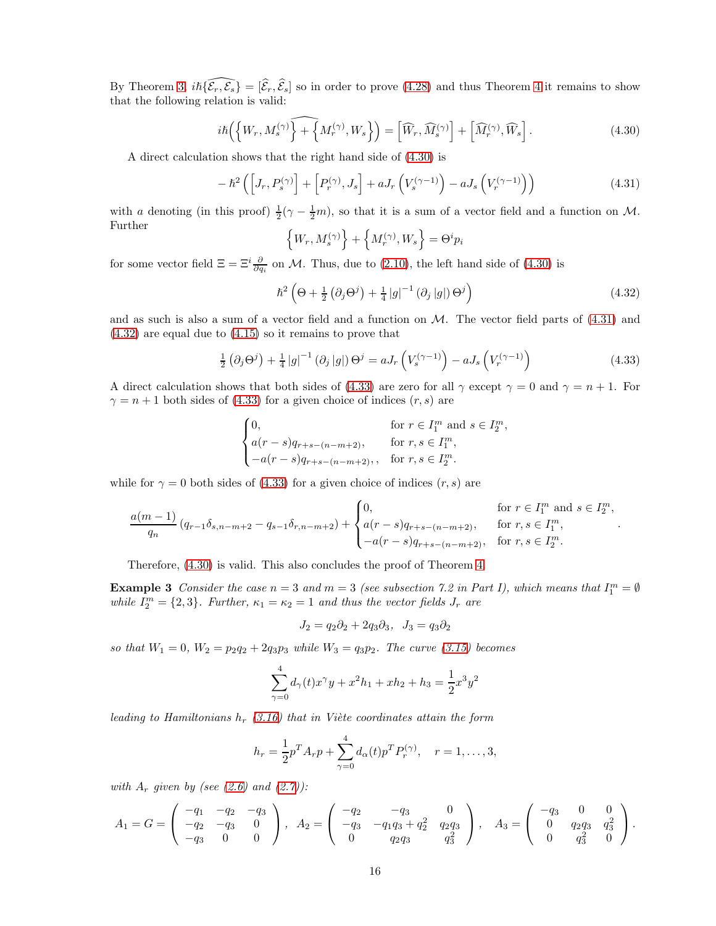By Theorem [3,](#page-9-5)  $i\hbar \{\widehat{\mathcal{E}_r}, \widehat{\mathcal{E}_s}\} = [\widehat{\mathcal{E}_r}, \widehat{\mathcal{E}_s}]$  so in order to prove [\(4.28\)](#page-14-1) and thus Theorem [4](#page-14-2) it remains to show that the following relation is valid:

<span id="page-15-0"></span>
$$
i\hbar\left(\left\{W_r, M_s^{(\gamma)}\right\} + \left\{M_r^{(\gamma)}, W_s\right\}\right) = \left[\widehat{W}_r, \widehat{M}_s^{(\gamma)}\right] + \left[\widehat{M}_r^{(\gamma)}, \widehat{W}_s\right].\tag{4.30}
$$

A direct calculation shows that the right hand side of [\(4.30\)](#page-15-0) is

<span id="page-15-1"></span>
$$
-\hbar^2\left(\left[J_r, P_s^{(\gamma)}\right] + \left[P_r^{(\gamma)}, J_s\right] + aJ_r\left(V_s^{(\gamma-1)}\right) - aJ_s\left(V_r^{(\gamma-1)}\right)\right) \tag{4.31}
$$

with a denoting (in this proof)  $\frac{1}{2}(\gamma - \frac{1}{2}m)$ , so that it is a sum of a vector field and a function on M. Further

$$
\left\{W_r,M_s^{(\gamma)}\right\}+\left\{M_r^{(\gamma)},W_s\right\}=\Theta^ip_i
$$

for some vector field  $\Xi = \Xi^i \frac{\partial}{\partial q_i}$  on M. Thus, due to [\(2.10\)](#page-2-2), the left hand side of [\(4.30\)](#page-15-0) is

<span id="page-15-2"></span>
$$
\hbar^2 \left(\Theta + \frac{1}{2} \left(\partial_j \Theta^j\right) + \frac{1}{4} \left|g\right|^{-1} \left(\partial_j \left|g\right|\right) \Theta^j\right) \tag{4.32}
$$

and as such is also a sum of a vector field and a function on  $M$ . The vector field parts of  $(4.31)$  and [\(4.32\)](#page-15-2) are equal due to [\(4.15\)](#page-9-2) so it remains to prove that

<span id="page-15-3"></span>
$$
\frac{1}{2} \left( \partial_j \Theta^j \right) + \frac{1}{4} |g|^{-1} \left( \partial_j |g| \right) \Theta^j = a J_r \left( V_s^{(\gamma - 1)} \right) - a J_s \left( V_r^{(\gamma - 1)} \right) \tag{4.33}
$$

A direct calculation shows that both sides of [\(4.33\)](#page-15-3) are zero for all  $\gamma$  except  $\gamma = 0$  and  $\gamma = n + 1$ . For  $\gamma = n + 1$  both sides of [\(4.33\)](#page-15-3) for a given choice of indices  $(r, s)$  are

$$
\begin{cases} 0, & \text{for } r \in I_1^m \text{ and } s \in I_2^m, \\ a(r-s)q_{r+s-(n-m+2)}, & \text{for } r, s \in I_1^m, \\ -a(r-s)q_{r+s-(n-m+2)}, & \text{for } r, s \in I_2^m. \end{cases}
$$

while for  $\gamma = 0$  both sides of [\(4.33\)](#page-15-3) for a given choice of indices  $(r, s)$  are

$$
\frac{a(m-1)}{q_n} (q_{r-1} \delta_{s,n-m+2} - q_{s-1} \delta_{r,n-m+2}) + \begin{cases} 0, & \text{for } r \in I_1^m \text{ and } s \in I_2^m, \\ a(r-s)q_{r+s-(n-m+2)}, & \text{for } r, s \in I_1^m, \\ -a(r-s)q_{r+s-(n-m+2)}, & \text{for } r, s \in I_2^m. \end{cases}
$$

<span id="page-15-4"></span>Therefore, [\(4.30\)](#page-15-0) is valid. This also concludes the proof of Theorem [4.](#page-14-2)

**Example 3** Consider the case  $n = 3$  and  $m = 3$  (see subsection 7.2 in Part I), which means that  $I_1^m = \emptyset$ while  $I_2^m = \{2,3\}$ . Further,  $\kappa_1 = \kappa_2 = 1$  and thus the vector fields  $J_r$  are

$$
J_2 = q_2 \partial_2 + 2q_3 \partial_3, \quad J_3 = q_3 \partial_2
$$

so that  $W_1 = 0$ ,  $W_2 = p_2q_2 + 2q_3p_3$  while  $W_3 = q_3p_2$ . The curve [\(3.15\)](#page-6-5) becomes

$$
\sum_{\gamma=0}^{4} d_{\gamma}(t)x^{\gamma}y + x^2h_1 + xh_2 + h_3 = \frac{1}{2}x^3y^2
$$

leading to Hamiltonians  $h_r$  [\(3.16\)](#page-6-1) that in Viète coordinates attain the form

$$
h_r = \frac{1}{2}p^T A_r p + \sum_{\gamma=0}^4 d_{\alpha}(t) p^T P_r^{(\gamma)}, \quad r = 1, \dots, 3,
$$

with  $A_r$  given by (see [\(2.6\)](#page-2-0) and [\(2.7\)](#page-2-5)):

$$
A_1 = G = \begin{pmatrix} -q_1 & -q_2 & -q_3 \ -q_2 & -q_3 & 0 \ -q_3 & 0 & 0 \end{pmatrix}, A_2 = \begin{pmatrix} -q_2 & -q_3 & 0 \ -q_3 & -q_1q_3 + q_2^2 & q_2q_3 \ 0 & q_2q_3 & q_3^2 \end{pmatrix}, A_3 = \begin{pmatrix} -q_3 & 0 & 0 \ 0 & q_2q_3 & q_3^2 \ 0 & q_3^2 & 0 \end{pmatrix}.
$$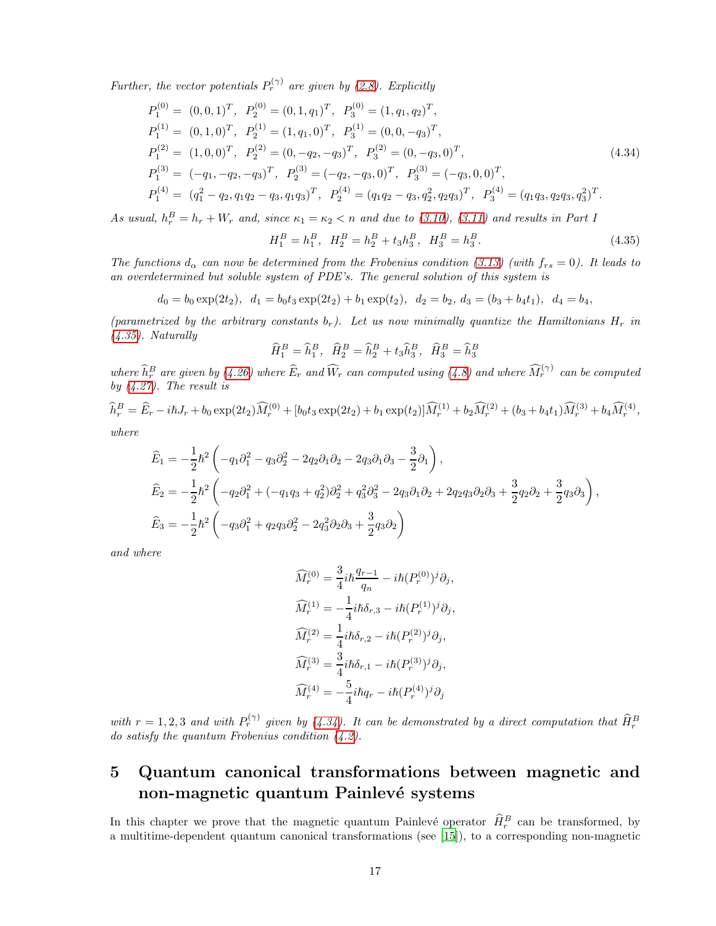Further, the vector potentials  $P_r^{(\gamma)}$  are given by [\(2.8\)](#page-2-6). Explicitly

$$
P_1^{(0)} = (0,0,1)^T, P_2^{(0)} = (0,1,q_1)^T, P_3^{(0)} = (1,q_1,q_2)^T,
$$
  
\n
$$
P_1^{(1)} = (0,1,0)^T, P_2^{(1)} = (1,q_1,0)^T, P_3^{(1)} = (0,0,-q_3)^T,
$$
  
\n
$$
P_1^{(2)} = (1,0,0)^T, P_2^{(2)} = (0,-q_2,-q_3)^T, P_3^{(2)} = (0,-q_3,0)^T,
$$
  
\n
$$
P_1^{(3)} = (-q_1,-q_2,-q_3)^T, P_2^{(3)} = (-q_2,-q_3,0)^T, P_3^{(3)} = (-q_3,0,0)^T,
$$
  
\n
$$
P_1^{(4)} = (q_1^2 - q_2,q_1q_2 - q_3,q_1q_3)^T, P_2^{(4)} = (q_1q_2 - q_3,q_2^2,q_2q_3)^T, P_3^{(4)} = (q_1q_3,q_2q_3,q_3^2)^T.
$$
\n(4.34)

As usual,  $h_r^B = h_r + W_r$  and, since  $\kappa_1 = \kappa_2 < n$  and due to [\(3.10\)](#page-5-0), [\(3.11\)](#page-5-1) and results in Part I

<span id="page-16-2"></span><span id="page-16-1"></span>
$$
H_1^B = h_1^B, \quad H_2^B = h_2^B + t_3 h_3^B, \quad H_3^B = h_3^B. \tag{4.35}
$$

The functions  $d_{\alpha}$  can now be determined from the Frobenius condition [\(3.13\)](#page-5-4) (with  $f_{rs} = 0$ ). It leads to an overdetermined but soluble system of PDE's. The general solution of this system is

$$
d_0 = b_0 \exp(2t_2), \quad d_1 = b_0 t_3 \exp(2t_2) + b_1 \exp(t_2), \quad d_2 = b_2, \ d_3 = (b_3 + b_4 t_1), \quad d_4 = b_4,
$$

(parametrized by the arbitrary constants  $b_r$ ). Let us now minimally quantize the Hamiltonians  $H_r$  in  $(4.35)$ . Naturally

$$
\widehat{H}_1^B = \widehat{h}_1^B, \quad \widehat{H}_2^B = \widehat{h}_2^B + t_3 \widehat{h}_3^B, \quad \widehat{H}_3^B = \widehat{h}_3^B
$$

where  $\widehat{h}_r^B$  are given by [\(4.26\)](#page-13-3) where  $\widehat{E}_r$  and  $\widehat{W}_r$  can computed using [\(4.8\)](#page-8-1) and where  $\widehat{M}_r^{(\gamma)}$  can be computed by  $(4.27)$ . The result is

 $\widehat{h}_r^B = \widehat{E}_r - i\hbar J_r + b_0 \exp(2t_2) \widehat{M}_r^{(0)} + [b_0 t_3 \exp(2t_2) + b_1 \exp(t_2)] \widehat{M}_r^{(1)} + b_2 \widehat{M}_r^{(2)} + (b_3 + b_4 t_1) \widehat{M}_r^{(3)} + b_4 \widehat{M}_r^{(4)} ,$ 

where

$$
\begin{split} \widehat{E}_1 &= -\frac{1}{2}\hbar^2 \left( -q_1\partial_1^2 - q_3\partial_2^2 - 2q_2\partial_1\partial_2 - 2q_3\partial_1\partial_3 - \frac{3}{2}\partial_1 \right), \\ \widehat{E}_2 &= -\frac{1}{2}\hbar^2 \left( -q_2\partial_1^2 + (-q_1q_3 + q_2^2)\partial_2^2 + q_3^2\partial_3^2 - 2q_3\partial_1\partial_2 + 2q_2q_3\partial_2\partial_3 + \frac{3}{2}q_2\partial_2 + \frac{3}{2}q_3\partial_3 \right), \\ \widehat{E}_3 &= -\frac{1}{2}\hbar^2 \left( -q_3\partial_1^2 + q_2q_3\partial_2^2 - 2q_3^2\partial_2\partial_3 + \frac{3}{2}q_3\partial_2 \right) \end{split}
$$

and where

$$
\widehat{M}_r^{(0)} = \frac{3}{4} i\hbar \frac{q_{r-1}}{q_n} - i\hbar (P_r^{(0)})^j \partial_j,
$$
  
\n
$$
\widehat{M}_r^{(1)} = -\frac{1}{4} i\hbar \delta_{r,3} - i\hbar (P_r^{(1)})^j \partial_j,
$$
  
\n
$$
\widehat{M}_r^{(2)} = \frac{1}{4} i\hbar \delta_{r,2} - i\hbar (P_r^{(2)})^j \partial_j,
$$
  
\n
$$
\widehat{M}_r^{(3)} = \frac{3}{4} i\hbar \delta_{r,1} - i\hbar (P_r^{(3)})^j \partial_j,
$$
  
\n
$$
\widehat{M}_r^{(4)} = -\frac{5}{4} i\hbar q_r - i\hbar (P_r^{(4)})^j \partial_j
$$

with  $r = 1, 2, 3$  and with  $P_r^{(\gamma)}$  given by [\(4.34\)](#page-16-2). It can be demonstrated by a direct computation that  $\widehat{H}_r^B$ do satisfy the quantum Frobenius condition [\(4.2\)](#page-6-2).

## <span id="page-16-0"></span>5 Quantum canonical transformations between magnetic and non-magnetic quantum Painlevé systems

In this chapter we prove that the magnetic quantum Painlevé operator  $\hat{H}_r^B$  can be transformed, by a multitime-dependent quantum canonical transformations (see [\[15\]](#page-19-16)), to a corresponding non-magnetic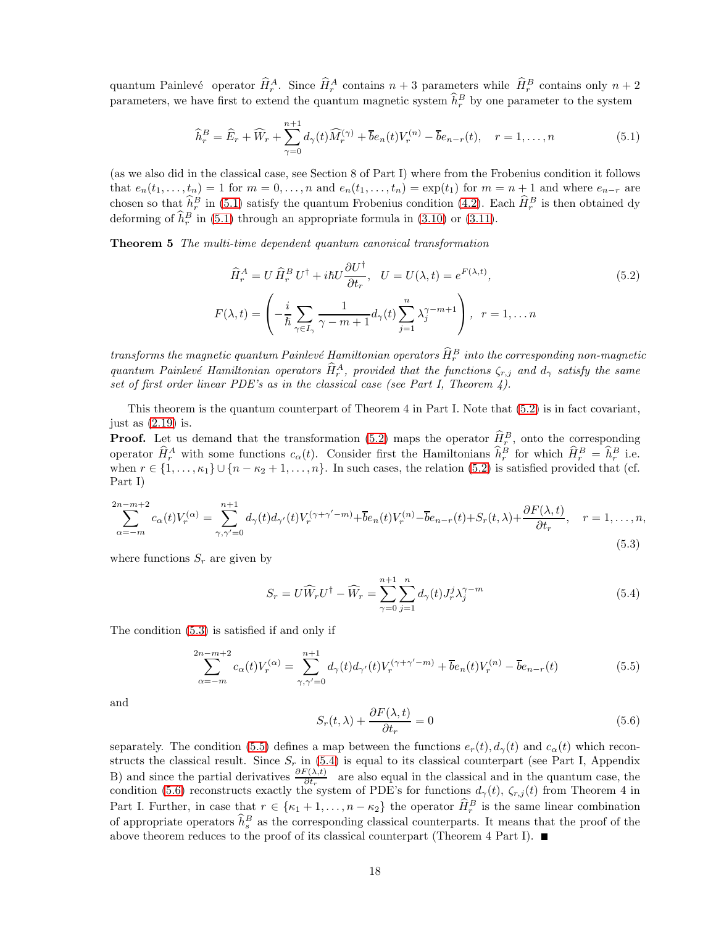quantum Painlevé operator  $\hat{H}_r^A$ . Since  $\hat{H}_r^A$  contains  $n+3$  parameters while  $\hat{H}_r^B$  contains only  $n+2$ parameters, we have first to extend the quantum magnetic system  $\hat{h}_r^B$  by one parameter to the system

<span id="page-17-0"></span>
$$
\widehat{h}_r^B = \widehat{E}_r + \widehat{W}_r + \sum_{\gamma=0}^{n+1} d_{\gamma}(t) \widehat{M}_r^{(\gamma)} + \overline{b}e_n(t) V_r^{(n)} - \overline{b}e_{n-r}(t), \quad r = 1, \dots, n
$$
\n(5.1)

(as we also did in the classical case, see Section 8 of Part I) where from the Frobenius condition it follows that  $e_n(t_1,\ldots,t_n) = 1$  for  $m = 0,\ldots,n$  and  $e_n(t_1,\ldots,t_n) = \exp(t_1)$  for  $m = n+1$  and where  $e_{n-r}$  are chosen so that  $\hat{h}_r^B$  in [\(5.1\)](#page-17-0) satisfy the quantum Frobenius condition [\(4.2\)](#page-6-2). Each  $\hat{H}_r^B$  is then obtained dy deforming of  $\hat{h}_r^B$  in [\(5.1\)](#page-17-0) through an appropriate formula in [\(3.10\)](#page-5-0) or [\(3.11\)](#page-5-1).

Theorem 5 The multi-time dependent quantum canonical transformation

<span id="page-17-1"></span>
$$
\widehat{H}_r^A = U \widehat{H}_r^B U^\dagger + i\hbar U \frac{\partial U^\dagger}{\partial t_r}, \quad U = U(\lambda, t) = e^{F(\lambda, t)},
$$
\n
$$
F(\lambda, t) = \left( -\frac{i}{\hbar} \sum_{\gamma \in I_\gamma} \frac{1}{\gamma - m + 1} d_\gamma(t) \sum_{j=1}^n \lambda_j^{\gamma - m + 1} \right), \quad r = 1, \dots n
$$
\n(5.2)

transforms the magnetic quantum Painlevé Hamiltonian operators  $\hat{H}^B_r$  into the corresponding non-magnetic quantum Painlevé Hamiltonian operators  $\hat{H}_r^A$ , provided that the functions  $\zeta_{r,j}$  and  $d_\gamma$  satisfy the same set of first order linear PDE's as in the classical case (see Part I, Theorem  $4$ ).

This theorem is the quantum counterpart of Theorem 4 in Part I. Note that [\(5.2\)](#page-17-1) is in fact covariant, just as  $(2.19)$  is.

**Proof.** Let us demand that the transformation [\(5.2\)](#page-17-1) maps the operator  $\hat{H}_r^B$ , onto the corresponding operator  $\hat{H}_r^A$  with some functions  $c_\alpha(t)$ . Consider first the Hamiltonians  $\hat{h}_r^B$  for which  $\hat{H}_r^B = \hat{h}_r^B$  i.e. when  $r \in \{1, \ldots, \kappa_1\} \cup \{n - \kappa_2 + 1, \ldots, n\}$ . In such cases, the relation [\(5.2\)](#page-17-1) is satisfied provided that (cf. Part I)

<span id="page-17-2"></span>
$$
\sum_{\alpha=-m}^{2n-m+2} c_{\alpha}(t) V_r^{(\alpha)} = \sum_{\gamma,\gamma'=0}^{n+1} d_{\gamma}(t) d_{\gamma'}(t) V_r^{(\gamma+\gamma'-m)} + \overline{b}e_n(t) V_r^{(n)} - \overline{b}e_{n-r}(t) + S_r(t,\lambda) + \frac{\partial F(\lambda,t)}{\partial t_r}, \quad r = 1,\dots,n,
$$
\n(5.3)

where functions  $S_r$  are given by

<span id="page-17-4"></span>
$$
S_r = U\widehat{W}_r U^\dagger - \widehat{W}_r = \sum_{\gamma=0}^{n+1} \sum_{j=1}^n d_\gamma(t) J_r^j \lambda_j^{\gamma-m}
$$
\n(5.4)

The condition [\(5.3\)](#page-17-2) is satisfied if and only if

<span id="page-17-3"></span>
$$
\sum_{\alpha=-m}^{2n-m+2} c_{\alpha}(t) V_r^{(\alpha)} = \sum_{\gamma,\gamma'=0}^{n+1} d_{\gamma}(t) d_{\gamma'}(t) V_r^{(\gamma+\gamma'-m)} + \overline{b} e_n(t) V_r^{(n)} - \overline{b} e_{n-r}(t)
$$
(5.5)

and

<span id="page-17-5"></span>
$$
S_r(t,\lambda) + \frac{\partial F(\lambda,t)}{\partial t_r} = 0
$$
\n(5.6)

separately. The condition [\(5.5\)](#page-17-3) defines a map between the functions  $e_r(t)$ ,  $d_\gamma(t)$  and  $c_\alpha(t)$  which reconstructs the classical result. Since  $S_r$  in [\(5.4\)](#page-17-4) is equal to its classical counterpart (see Part I, Appendix B) and since the partial derivatives  $\frac{\partial F(\lambda,t)}{\partial t_r}$  are also equal in the classical and in the quantum case, the condition [\(5.6\)](#page-17-5) reconstructs exactly the system of PDE's for functions  $d_{\gamma}(t)$ ,  $\zeta_{r,j}(t)$  from Theorem 4 in Part I. Further, in case that  $r \in {\kappa_1 + 1, \ldots, n - \kappa_2}$  the operator  $\hat{H}_r^B$  is the same linear combination of appropriate operators  $\hat{h}_s^B$  as the corresponding classical counterparts. It means that the proof of the above theorem reduces to the proof of its classical counterpart (Theorem 4 Part I).  $\blacksquare$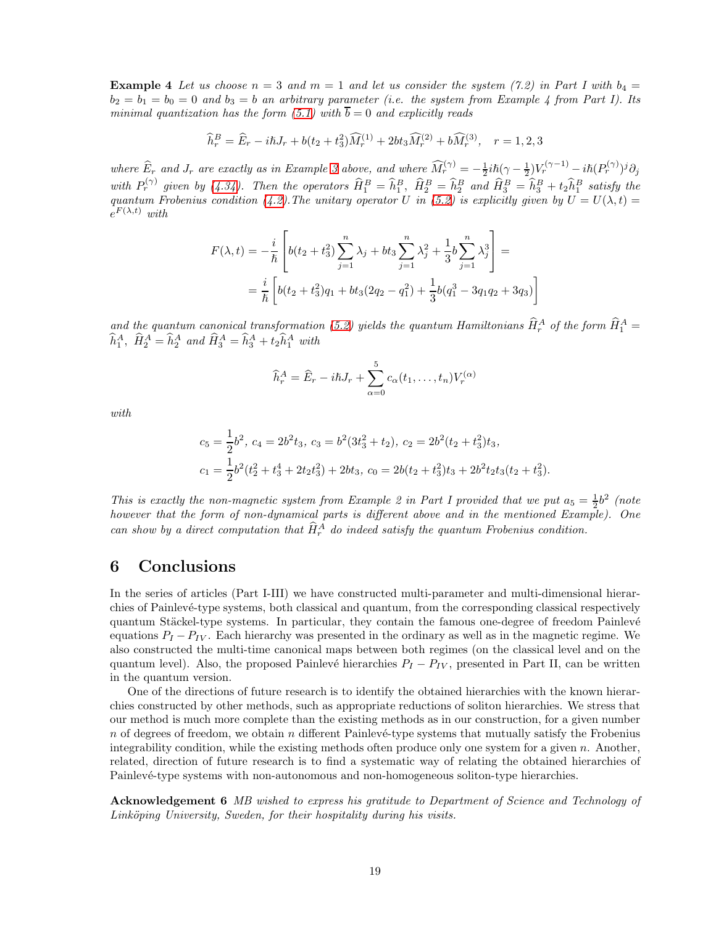**Example 4** Let us choose  $n = 3$  and  $m = 1$  and let us consider the system (7.2) in Part I with  $b_4 =$  $b_2 = b_1 = b_0 = 0$  and  $b_3 = b$  an arbitrary parameter (i.e. the system from Example 4 from Part I). Its minimal quantization has the form  $(5.1)$  with  $b = 0$  and explicitly reads

$$
\widehat{h}_r^B = \widehat{E}_r - i\hbar J_r + b(t_2 + t_3^2)\widehat{M}_r^{(1)} + 2bt_3\widehat{M}_r^{(2)} + b\widehat{M}_r^{(3)}, \quad r = 1, 2, 3
$$

where  $\widehat{E}_r$  and  $J_r$  are exactly as in Example [3](#page-15-4) above, and where  $\widehat{M}_r^{(\gamma)} = -\frac{1}{2}i\hbar(\gamma - \frac{1}{2})V_r^{(\gamma - 1)} - i\hbar(P_r^{(\gamma)})^j\partial_j$ with  $P_r^{(\gamma)}$  given by [\(4.34\)](#page-16-2). Then the operators  $\widehat{H}_1^B = \widehat{h}_1^B$ ,  $\widehat{H}_2^B = \widehat{h}_2^B$  and  $\widehat{H}_3^B = \widehat{h}_3^B + t_2 \widehat{h}_1^B$  satisfy the quantum Frobenius condition [\(4.2\)](#page-6-2). The unitary operator U in [\(5.2\)](#page-17-1) is explicitly given by  $U = U(\lambda, t) =$  $e^{F(\lambda,t)}$  with

$$
F(\lambda, t) = -\frac{i}{\hbar} \left[ b(t_2 + t_3^2) \sum_{j=1}^n \lambda_j + bt_3 \sum_{j=1}^n \lambda_j^2 + \frac{1}{3} b \sum_{j=1}^n \lambda_j^3 \right] =
$$
  
=  $\frac{i}{\hbar} \left[ b(t_2 + t_3^2) q_1 + bt_3 (2q_2 - q_1^2) + \frac{1}{3} b(q_1^3 - 3q_1 q_2 + 3q_3) \right]$ 

and the quantum canonical transformation [\(5.2\)](#page-17-1) yields the quantum Hamiltonians  $\hat{H}_r^A$  of the form  $\hat{H}_1^A$  =  $\hat{h}_1^A$ ,  $\hat{H}_2^A = \hat{h}_2^A$  and  $\hat{H}_3^A = \hat{h}_3^A + t_2 \hat{h}_1^A$  with

$$
\widehat{h}_r^A = \widehat{E}_r - i\hbar J_r + \sum_{\alpha=0}^5 c_{\alpha}(t_1, \dots, t_n) V_r^{(\alpha)}
$$

with

$$
c_5 = \frac{1}{2}b^2, \ c_4 = 2b^2t_3, \ c_3 = b^2(3t_3^2 + t_2), \ c_2 = 2b^2(t_2 + t_3^2)t_3,
$$
  

$$
c_1 = \frac{1}{2}b^2(t_2^2 + t_3^4 + 2t_2t_3^2) + 2bt_3, \ c_0 = 2b(t_2 + t_3^2)t_3 + 2b^2t_2t_3(t_2 + t_3^2).
$$

This is exactly the non-magnetic system from Example 2 in Part I provided that we put  $a_5 = \frac{1}{2}b^2$  (note however that the form of non-dynamical parts is different above and in the mentioned Example). One can show by a direct computation that  $\hat{H}_r^A$  do indeed satisfy the quantum Frobenius condition.

### 6 Conclusions

In the series of articles (Part I-III) we have constructed multi-parameter and multi-dimensional hierarchies of Painlevé-type systems, both classical and quantum, from the corresponding classical respectively quantum Stäckel-type systems. In particular, they contain the famous one-degree of freedom Painlevé equations  $P_I - P_{IV}$ . Each hierarchy was presented in the ordinary as well as in the magnetic regime. We also constructed the multi-time canonical maps between both regimes (on the classical level and on the quantum level). Also, the proposed Painlevé hierarchies  $P_I - P_{IV}$ , presented in Part II, can be written in the quantum version.

One of the directions of future research is to identify the obtained hierarchies with the known hierarchies constructed by other methods, such as appropriate reductions of soliton hierarchies. We stress that our method is much more complete than the existing methods as in our construction, for a given number n of degrees of freedom, we obtain n different Painlevé-type systems that mutually satisfy the Frobenius integrability condition, while the existing methods often produce only one system for a given  $n$ . Another, related, direction of future research is to find a systematic way of relating the obtained hierarchies of Painlevé-type systems with non-autonomous and non-homogeneous soliton-type hierarchies.

Acknowledgement 6 MB wished to express his gratitude to Department of Science and Technology of Linköping University, Sweden, for their hospitality during his visits.